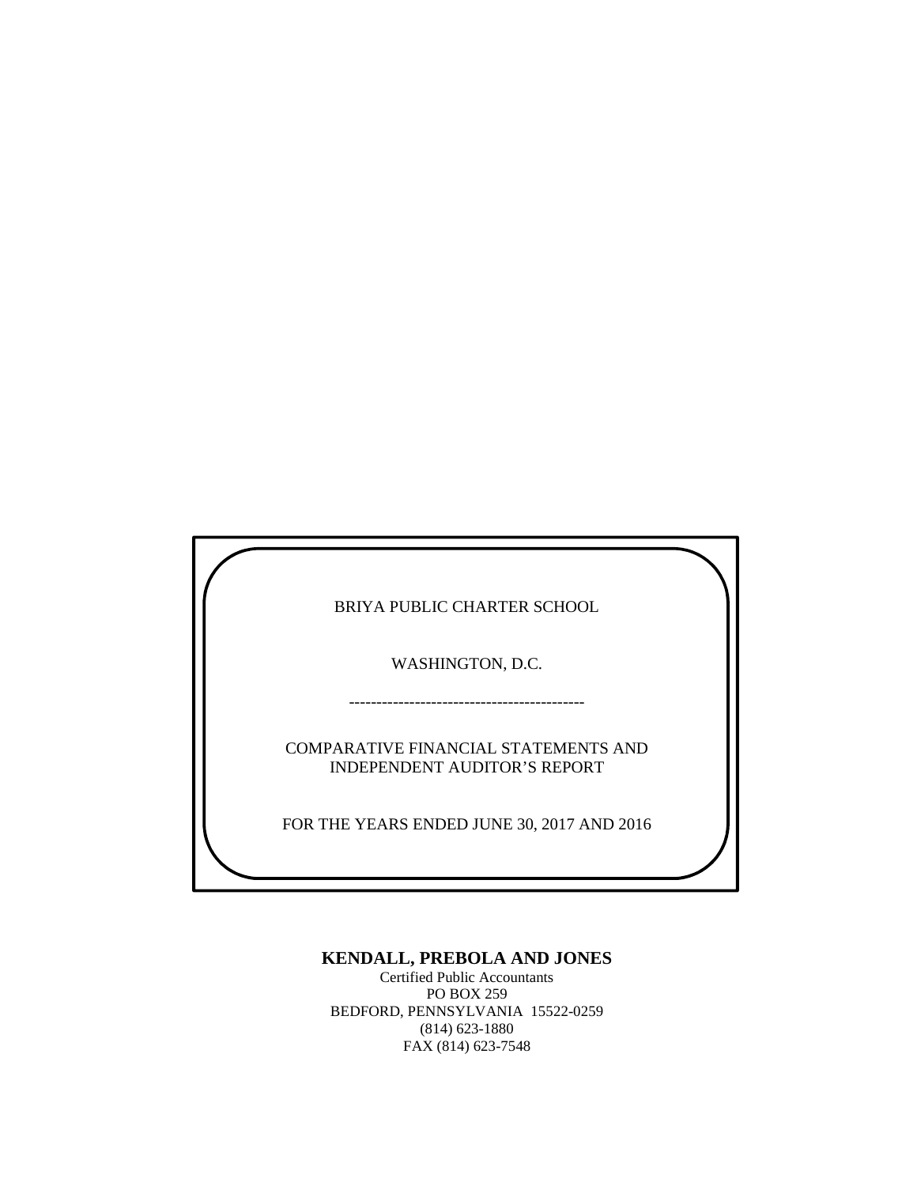BRIYA PUBLIC CHARTER SCHOOL

WASHINGTON, D.C.

-------------------------------------------

COMPARATIVE FINANCIAL STATEMENTS AND

INDEPENDENT AUDITOR'S REPORT

FOR THE YEARS ENDED JUNE 30, 2017 AND 2016

### **KENDALL, PREBOLA AND JONES**

Certified Public Accountants PO BOX 259 BEDFORD, PENNSYLVANIA 15522-0259 (814) 623-1880 FAX (814) 623-7548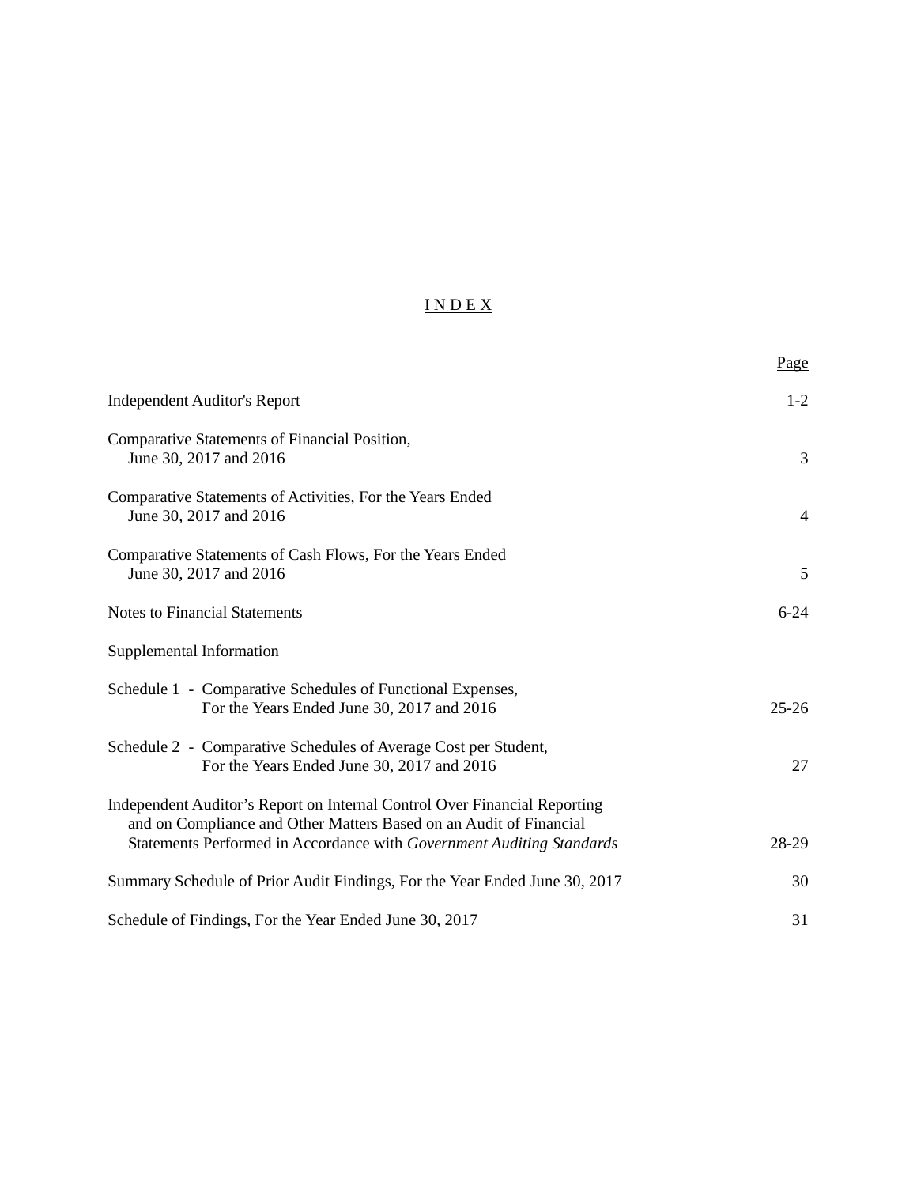## I N D E X

|                                                                                                                                                                                                                          | Page           |
|--------------------------------------------------------------------------------------------------------------------------------------------------------------------------------------------------------------------------|----------------|
| <b>Independent Auditor's Report</b>                                                                                                                                                                                      | $1-2$          |
| Comparative Statements of Financial Position,<br>June 30, 2017 and 2016                                                                                                                                                  | 3              |
| Comparative Statements of Activities, For the Years Ended<br>June 30, 2017 and 2016                                                                                                                                      | $\overline{4}$ |
| Comparative Statements of Cash Flows, For the Years Ended<br>June 30, 2017 and 2016                                                                                                                                      | 5              |
| <b>Notes to Financial Statements</b>                                                                                                                                                                                     | $6 - 24$       |
| Supplemental Information                                                                                                                                                                                                 |                |
| Schedule 1 - Comparative Schedules of Functional Expenses,<br>For the Years Ended June 30, 2017 and 2016                                                                                                                 | $25 - 26$      |
| Schedule 2 - Comparative Schedules of Average Cost per Student,<br>For the Years Ended June 30, 2017 and 2016                                                                                                            | 27             |
| Independent Auditor's Report on Internal Control Over Financial Reporting<br>and on Compliance and Other Matters Based on an Audit of Financial<br>Statements Performed in Accordance with Government Auditing Standards | 28-29          |
| Summary Schedule of Prior Audit Findings, For the Year Ended June 30, 2017                                                                                                                                               | 30             |
| Schedule of Findings, For the Year Ended June 30, 2017                                                                                                                                                                   | 31             |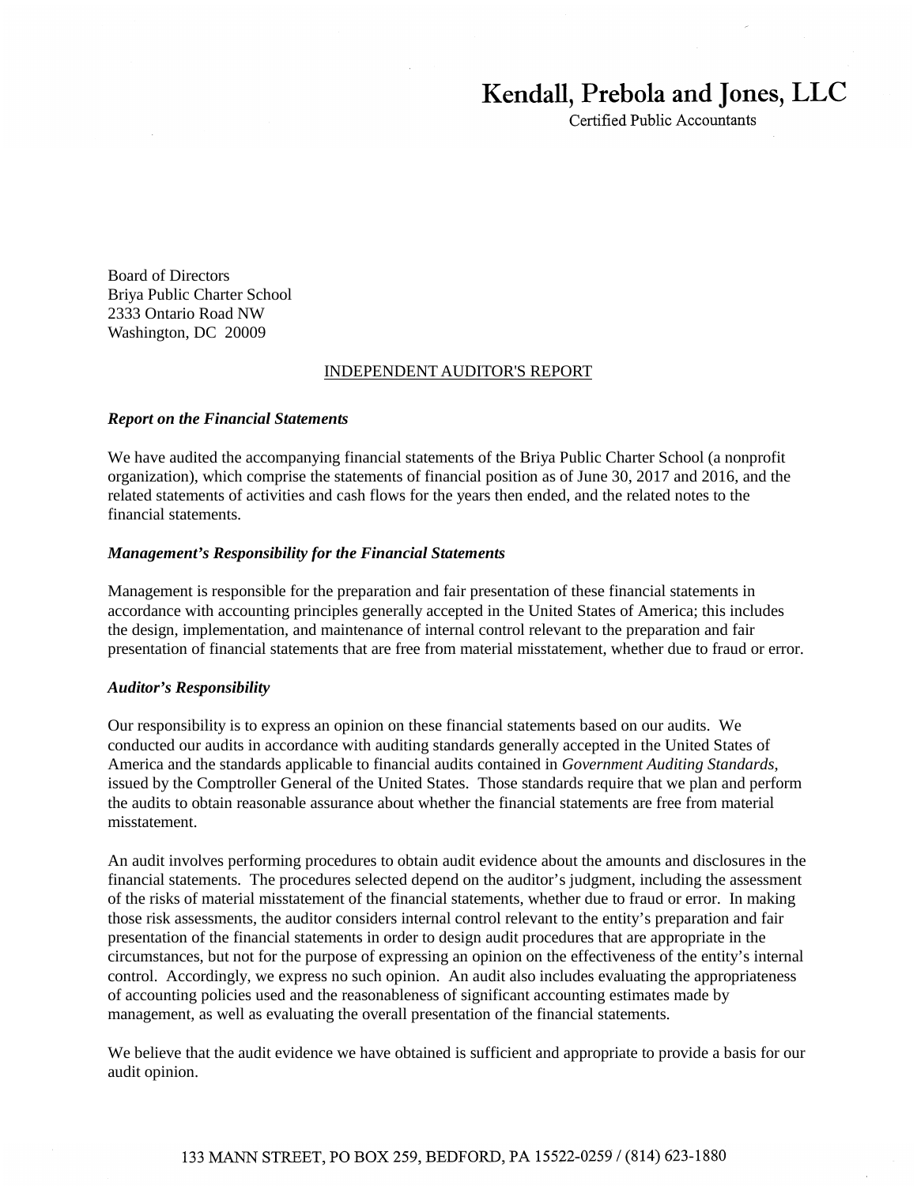# Kendall, Prebola and Jones, LLC

Certified Public Accountants

Board of Directors Briya Public Charter School 2333 Ontario Road NW Washington, DC 20009

#### INDEPENDENT AUDITOR'S REPORT

#### *Report on the Financial Statements*

We have audited the accompanying financial statements of the Briya Public Charter School (a nonprofit organization), which comprise the statements of financial position as of June 30, 2017 and 2016, and the related statements of activities and cash flows for the years then ended, and the related notes to the financial statements.

#### *Management's Responsibility for the Financial Statements*

Management is responsible for the preparation and fair presentation of these financial statements in accordance with accounting principles generally accepted in the United States of America; this includes the design, implementation, and maintenance of internal control relevant to the preparation and fair presentation of financial statements that are free from material misstatement, whether due to fraud or error.

#### *Auditor's Responsibility*

Our responsibility is to express an opinion on these financial statements based on our audits. We conducted our audits in accordance with auditing standards generally accepted in the United States of America and the standards applicable to financial audits contained in *Government Auditing Standards*, issued by the Comptroller General of the United States. Those standards require that we plan and perform the audits to obtain reasonable assurance about whether the financial statements are free from material misstatement.

An audit involves performing procedures to obtain audit evidence about the amounts and disclosures in the financial statements. The procedures selected depend on the auditor's judgment, including the assessment of the risks of material misstatement of the financial statements, whether due to fraud or error. In making those risk assessments, the auditor considers internal control relevant to the entity's preparation and fair presentation of the financial statements in order to design audit procedures that are appropriate in the circumstances, but not for the purpose of expressing an opinion on the effectiveness of the entity's internal control. Accordingly, we express no such opinion. An audit also includes evaluating the appropriateness of accounting policies used and the reasonableness of significant accounting estimates made by management, as well as evaluating the overall presentation of the financial statements.

We believe that the audit evidence we have obtained is sufficient and appropriate to provide a basis for our audit opinion.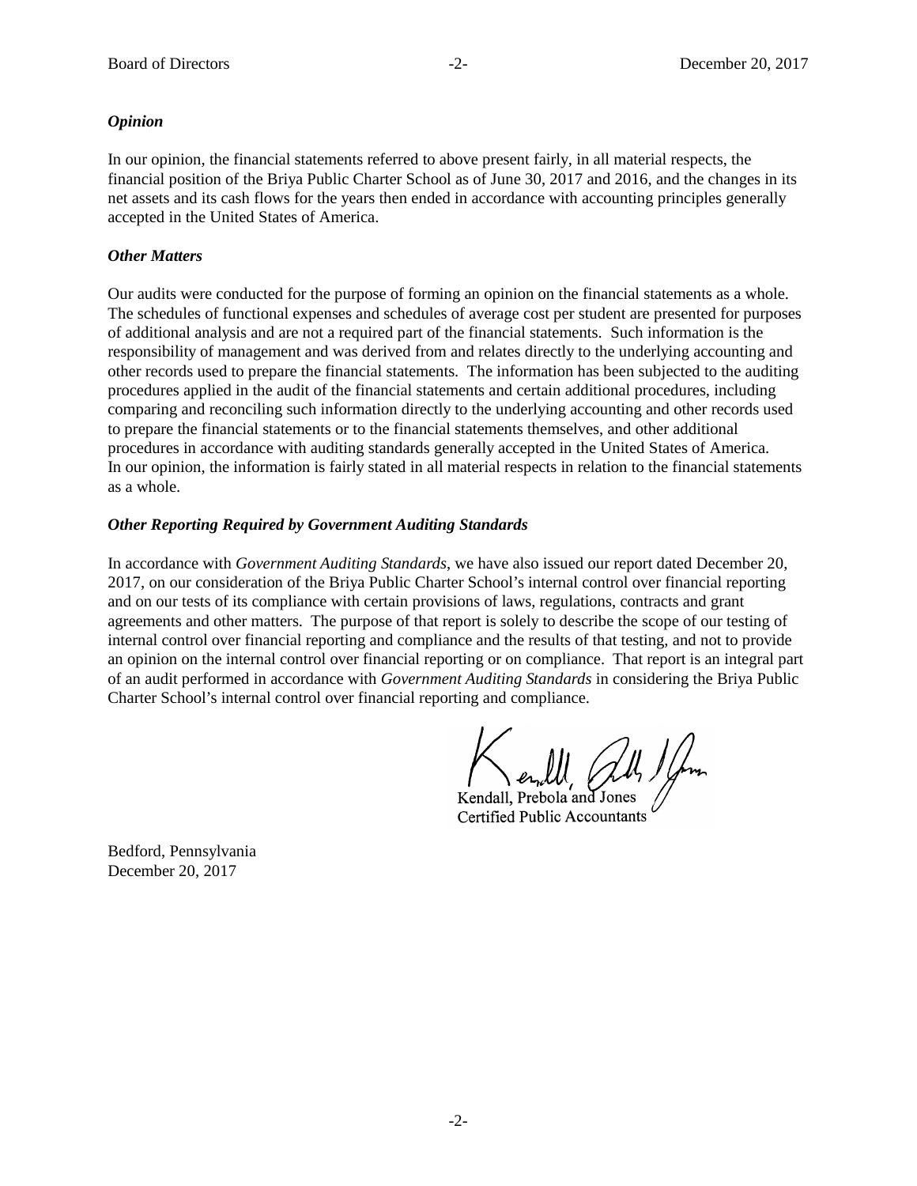#### *Opinion*

In our opinion, the financial statements referred to above present fairly, in all material respects, the financial position of the Briya Public Charter School as of June 30, 2017 and 2016, and the changes in its net assets and its cash flows for the years then ended in accordance with accounting principles generally accepted in the United States of America.

#### *Other Matters*

Our audits were conducted for the purpose of forming an opinion on the financial statements as a whole. The schedules of functional expenses and schedules of average cost per student are presented for purposes of additional analysis and are not a required part of the financial statements. Such information is the responsibility of management and was derived from and relates directly to the underlying accounting and other records used to prepare the financial statements. The information has been subjected to the auditing procedures applied in the audit of the financial statements and certain additional procedures, including comparing and reconciling such information directly to the underlying accounting and other records used to prepare the financial statements or to the financial statements themselves, and other additional procedures in accordance with auditing standards generally accepted in the United States of America. In our opinion, the information is fairly stated in all material respects in relation to the financial statements as a whole.

#### *Other Reporting Required by Government Auditing Standards*

In accordance with *Government Auditing Standards*, we have also issued our report dated December 20, 2017, on our consideration of the Briya Public Charter School's internal control over financial reporting and on our tests of its compliance with certain provisions of laws, regulations, contracts and grant agreements and other matters. The purpose of that report is solely to describe the scope of our testing of internal control over financial reporting and compliance and the results of that testing, and not to provide an opinion on the internal control over financial reporting or on compliance. That report is an integral part of an audit performed in accordance with *Government Auditing Standards* in considering the Briya Public Charter School's internal control over financial reporting and compliance.

Kendall, Prebola and Jones Certified Public Accountants

Bedford, Pennsylvania December 20, 2017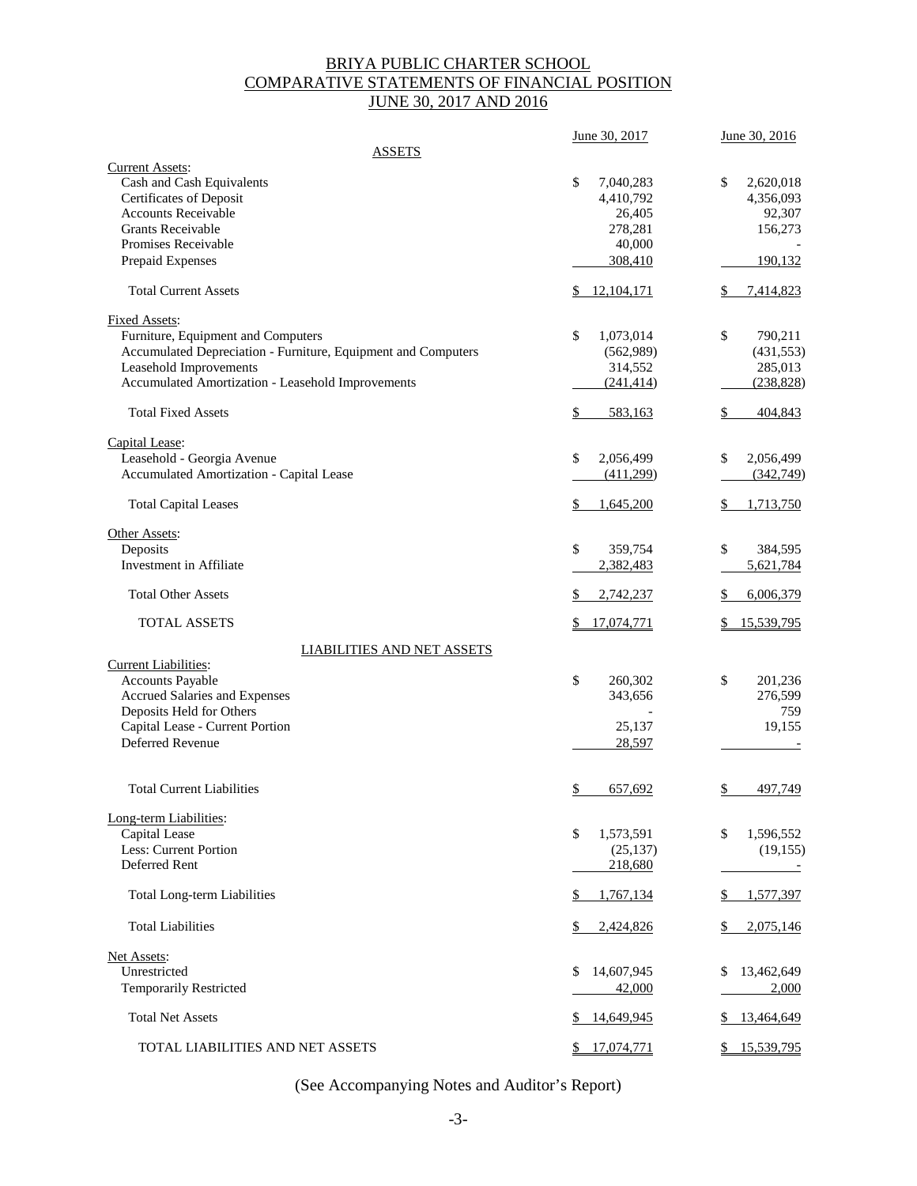### BRIYA PUBLIC CHARTER SCHOOL COMPARATIVE STATEMENTS OF FINANCIAL POSITION JUNE 30, 2017 AND 2016

|                                                               | June 30, 2017           | June 30, 2016            |
|---------------------------------------------------------------|-------------------------|--------------------------|
| <b>ASSETS</b><br><b>Current Assets:</b>                       |                         |                          |
| Cash and Cash Equivalents                                     | \$<br>7,040,283         | \$<br>2,620,018          |
| Certificates of Deposit                                       | 4,410,792               | 4,356,093                |
| <b>Accounts Receivable</b>                                    | 26,405                  | 92,307                   |
| <b>Grants Receivable</b>                                      | 278,281                 | 156,273                  |
| Promises Receivable                                           | 40,000                  |                          |
| Prepaid Expenses                                              | 308,410                 | 190,132                  |
|                                                               |                         |                          |
| <b>Total Current Assets</b>                                   | 12,104,171<br>\$.       | 7,414,823<br>\$          |
| <b>Fixed Assets:</b>                                          |                         |                          |
| Furniture, Equipment and Computers                            | \$<br>1,073,014         | \$<br>790,211            |
| Accumulated Depreciation - Furniture, Equipment and Computers | (562,989)               | (431, 553)               |
| Leasehold Improvements                                        | 314,552                 | 285,013                  |
| Accumulated Amortization - Leasehold Improvements             | (241, 414)              | (238, 828)               |
| <b>Total Fixed Assets</b>                                     | $\mathbb{S}$<br>583,163 | $\frac{1}{2}$<br>404,843 |
| Capital Lease:                                                |                         |                          |
| Leasehold - Georgia Avenue                                    | \$<br>2,056,499         | \$<br>2,056,499          |
| Accumulated Amortization - Capital Lease                      | (411,299)               | (342,749)                |
| <b>Total Capital Leases</b>                                   | 1,645,200<br>\$         | 1,713,750<br>\$          |
| Other Assets:                                                 |                         |                          |
| Deposits                                                      | \$<br>359,754           | \$<br>384,595            |
| Investment in Affiliate                                       | 2,382,483               | 5,621,784                |
| <b>Total Other Assets</b>                                     | 2,742,237<br>\$         | 6,006,379<br>S           |
| <b>TOTAL ASSETS</b>                                           | 17,074,771              | 15,539,795               |
| <b>LIABILITIES AND NET ASSETS</b>                             |                         |                          |
| <b>Current Liabilities:</b>                                   |                         |                          |
| <b>Accounts Payable</b>                                       | $\$$<br>260,302         | \$<br>201,236            |
| Accrued Salaries and Expenses                                 | 343,656                 | 276,599                  |
| Deposits Held for Others                                      |                         | 759                      |
| Capital Lease - Current Portion                               | 25,137                  | 19,155                   |
| Deferred Revenue                                              | 28,597                  |                          |
| <b>Total Current Liabilities</b>                              | \$<br>657,692           | \$<br>497,749            |
| Long-term Liabilities:                                        |                         |                          |
| Capital Lease                                                 | \$<br>1,573,591         | \$<br>1,596,552          |
| Less: Current Portion                                         | (25, 137)               | (19, 155)                |
| Deferred Rent                                                 | 218,680                 |                          |
|                                                               |                         |                          |
| Total Long-term Liabilities                                   | 1,767,134<br>\$.        | 1,577,397<br>S.          |
| <b>Total Liabilities</b>                                      | \$<br>2,424,826         | 2,075,146<br>\$          |
| <b>Net Assets:</b>                                            |                         |                          |
| Unrestricted                                                  | \$<br>14,607,945        | 13,462,649<br>\$.        |
| <b>Temporarily Restricted</b>                                 | 42,000                  | 2,000                    |
| <b>Total Net Assets</b>                                       | 14,649,945              | 13,464,649               |
| TOTAL LIABILITIES AND NET ASSETS                              | \$ 17,074,771           | \$ 15,539,795            |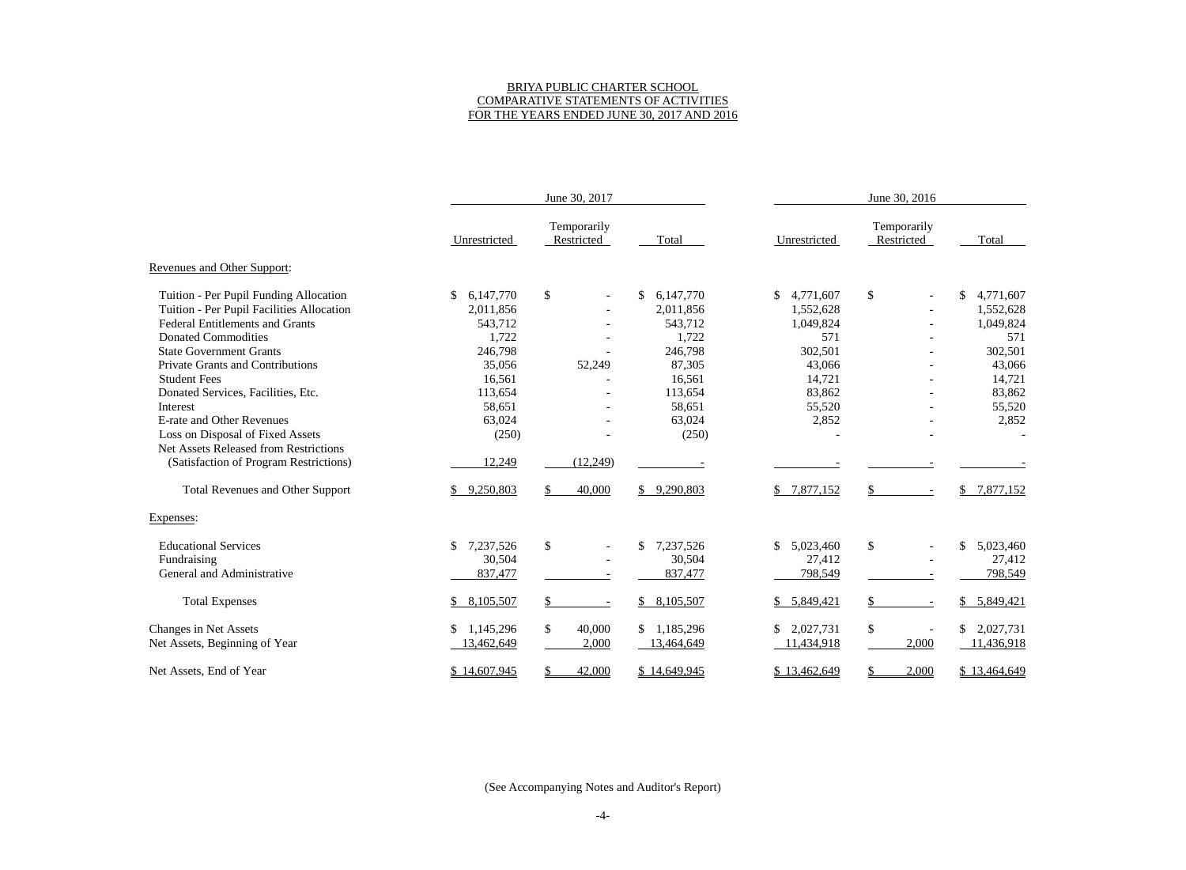#### BRIYA PUBLIC CHARTER SCHOOL COMPARATIVE STATEMENTS OF ACTIVITIES FOR THE YEARS ENDED JUNE 30, 2017 AND 2016

|                                           | June 30, 2017              |                           | June 30, 2016   |                 |                                                       |                 |
|-------------------------------------------|----------------------------|---------------------------|-----------------|-----------------|-------------------------------------------------------|-----------------|
|                                           | Unrestricted               | Temporarily<br>Restricted | Total           | Unrestricted    | Temporarily<br>Restricted                             | Total           |
| Revenues and Other Support:               |                            |                           |                 |                 |                                                       |                 |
| Tuition - Per Pupil Funding Allocation    | $\mathcal{S}$<br>6,147,770 | $\boldsymbol{\mathsf{S}}$ | 6,147,770<br>\$ | 4,771,607<br>\$ | \$                                                    | \$<br>4,771,607 |
| Tuition - Per Pupil Facilities Allocation | 2,011,856                  |                           | 2,011,856       | 1,552,628       |                                                       | 1,552,628       |
| <b>Federal Entitlements and Grants</b>    | 543,712                    |                           | 543,712         | 1,049,824       |                                                       | 1,049,824       |
| <b>Donated Commodities</b>                | 1,722                      |                           | 1,722           | 571             |                                                       | 571             |
| <b>State Government Grants</b>            | 246,798                    |                           | 246,798         | 302,501         |                                                       | 302,501         |
| Private Grants and Contributions          | 35,056                     | 52,249                    | 87,305          | 43,066          |                                                       | 43,066          |
| <b>Student Fees</b>                       | 16,561                     |                           | 16,561          | 14,721          |                                                       | 14,721          |
| Donated Services, Facilities, Etc.        | 113,654                    |                           | 113,654         | 83,862          |                                                       | 83,862          |
| Interest                                  | 58,651                     |                           | 58,651          | 55,520          |                                                       | 55,520          |
| <b>E-rate and Other Revenues</b>          | 63,024                     |                           | 63,024          | 2,852           |                                                       | 2,852           |
| Loss on Disposal of Fixed Assets          | (250)                      |                           | (250)           |                 |                                                       |                 |
| Net Assets Released from Restrictions     |                            |                           |                 |                 |                                                       |                 |
| (Satisfaction of Program Restrictions)    | 12,249                     | (12,249)                  |                 |                 |                                                       |                 |
| <b>Total Revenues and Other Support</b>   | 9,250,803                  | 40,000                    | 9,290,803       | 7,877,152<br>\$ |                                                       | 7,877,152<br>\$ |
| Expenses:                                 |                            |                           |                 |                 |                                                       |                 |
| <b>Educational Services</b>               | 7,237,526<br>\$            | $\boldsymbol{\mathsf{S}}$ | 7,237,526<br>\$ | 5,023,460<br>\$ | \$                                                    | 5,023,460<br>\$ |
| Fundraising                               | 30,504                     |                           | 30,504          | 27,412          |                                                       | 27,412          |
| General and Administrative                | 837,477                    |                           | 837,477         | 798,549         |                                                       | 798,549         |
| <b>Total Expenses</b>                     | 8,105,507                  |                           | 8,105,507<br>S. | \$5,849,421     | \$                                                    | \$5,849,421     |
| Changes in Net Assets                     | 1,145,296                  | \$<br>40,000              | \$<br>1,185,296 | \$2,027,731     | $\boldsymbol{\mathsf{S}}$<br>$\overline{\phantom{a}}$ | \$2,027,731     |
| Net Assets, Beginning of Year             | 13,462,649                 | 2,000                     | 13,464,649      | 11,434,918      | 2,000                                                 | 11,436,918      |
| Net Assets, End of Year                   | \$14,607,945               | 42,000                    | \$14,649,945    | \$13,462,649    | 2,000<br>\$                                           | \$13,464,649    |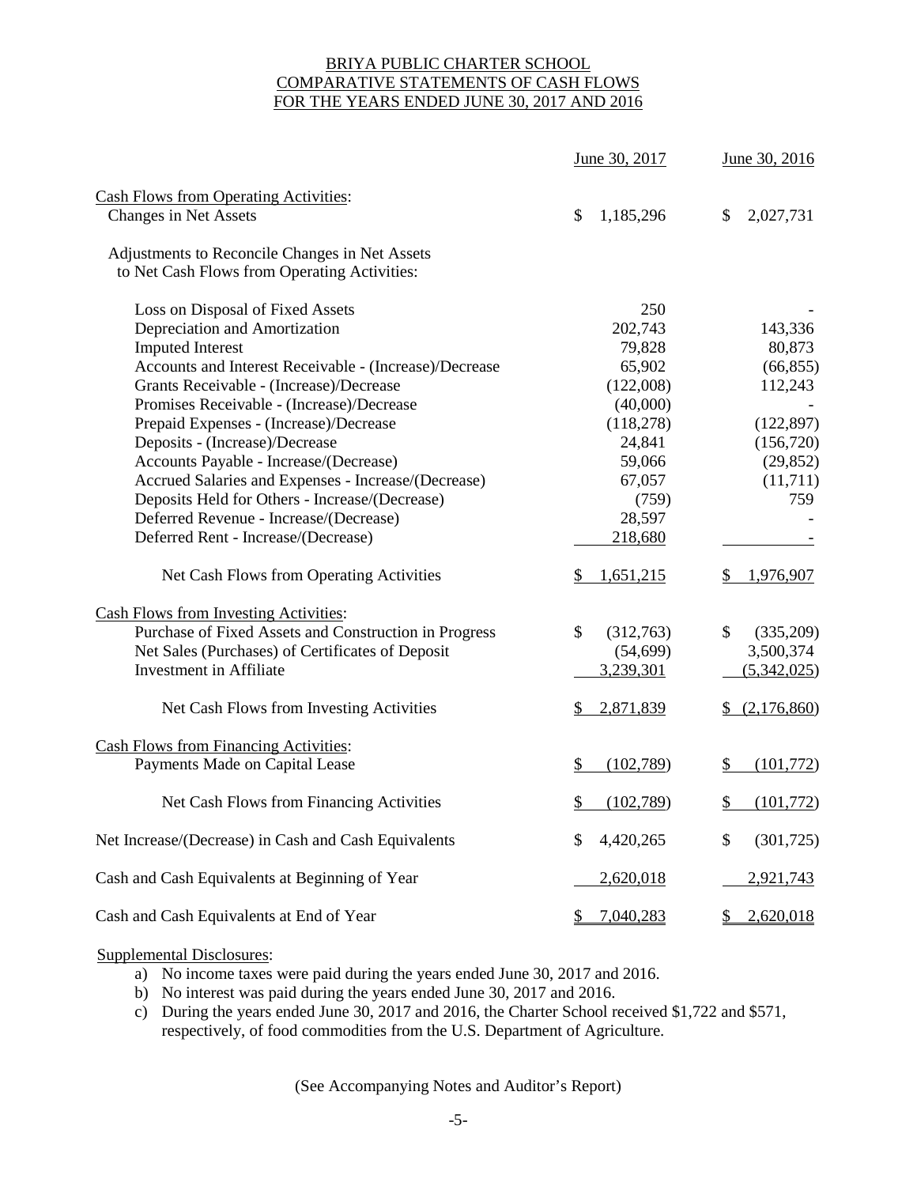#### BRIYA PUBLIC CHARTER SCHOOL COMPARATIVE STATEMENTS OF CASH FLOWS FOR THE YEARS ENDED JUNE 30, 2017 AND 2016

|                                                        | June 30, 2017              | June 30, 2016    |
|--------------------------------------------------------|----------------------------|------------------|
| <b>Cash Flows from Operating Activities:</b>           |                            |                  |
| Changes in Net Assets                                  | \$<br>1,185,296            | 2,027,731<br>S   |
| Adjustments to Reconcile Changes in Net Assets         |                            |                  |
| to Net Cash Flows from Operating Activities:           |                            |                  |
| Loss on Disposal of Fixed Assets                       | 250                        |                  |
| Depreciation and Amortization                          | 202,743                    | 143,336          |
| <b>Imputed Interest</b>                                | 79,828                     | 80,873           |
| Accounts and Interest Receivable - (Increase)/Decrease | 65,902                     | (66, 855)        |
| Grants Receivable - (Increase)/Decrease                | (122,008)                  | 112,243          |
| Promises Receivable - (Increase)/Decrease              | (40,000)                   |                  |
| Prepaid Expenses - (Increase)/Decrease                 | (118,278)                  | (122, 897)       |
| Deposits - (Increase)/Decrease                         | 24,841                     | (156, 720)       |
| Accounts Payable - Increase/(Decrease)                 | 59,066                     | (29, 852)        |
| Accrued Salaries and Expenses - Increase/(Decrease)    | 67,057                     | (11,711)         |
| Deposits Held for Others - Increase/(Decrease)         | (759)                      | 759              |
| Deferred Revenue - Increase/(Decrease)                 | 28,597                     |                  |
| Deferred Rent - Increase/(Decrease)                    | 218,680                    |                  |
|                                                        |                            |                  |
| Net Cash Flows from Operating Activities               | 1,651,215<br>\$            | 1,976,907        |
| <b>Cash Flows from Investing Activities:</b>           |                            |                  |
| Purchase of Fixed Assets and Construction in Progress  | $\mathcal{S}$<br>(312,763) | \$<br>(335,209)  |
| Net Sales (Purchases) of Certificates of Deposit       | (54, 699)                  | 3,500,374        |
| Investment in Affiliate                                | 3,239,301                  | (5,342,025)      |
| Net Cash Flows from Investing Activities               | 2,871,839<br>S             | (2,176,860)      |
|                                                        |                            |                  |
| <b>Cash Flows from Financing Activities:</b>           |                            |                  |
| Payments Made on Capital Lease                         | (102,789)<br>\$            | (101,772)<br>\$  |
| Net Cash Flows from Financing Activities               | \$<br>(102,789)            | (101,772)        |
| Net Increase/(Decrease) in Cash and Cash Equivalents   | \$<br>4,420,265            | \$<br>(301, 725) |
| Cash and Cash Equivalents at Beginning of Year         | 2,620,018                  | 2,921,743        |
| Cash and Cash Equivalents at End of Year               | 7,040,283<br>\$            | 2,620,018<br>\$  |

Supplemental Disclosures:

- a) No income taxes were paid during the years ended June 30, 2017 and 2016.
- b) No interest was paid during the years ended June 30, 2017 and 2016.
- c) During the years ended June 30, 2017 and 2016, the Charter School received \$1,722 and \$571, respectively, of food commodities from the U.S. Department of Agriculture.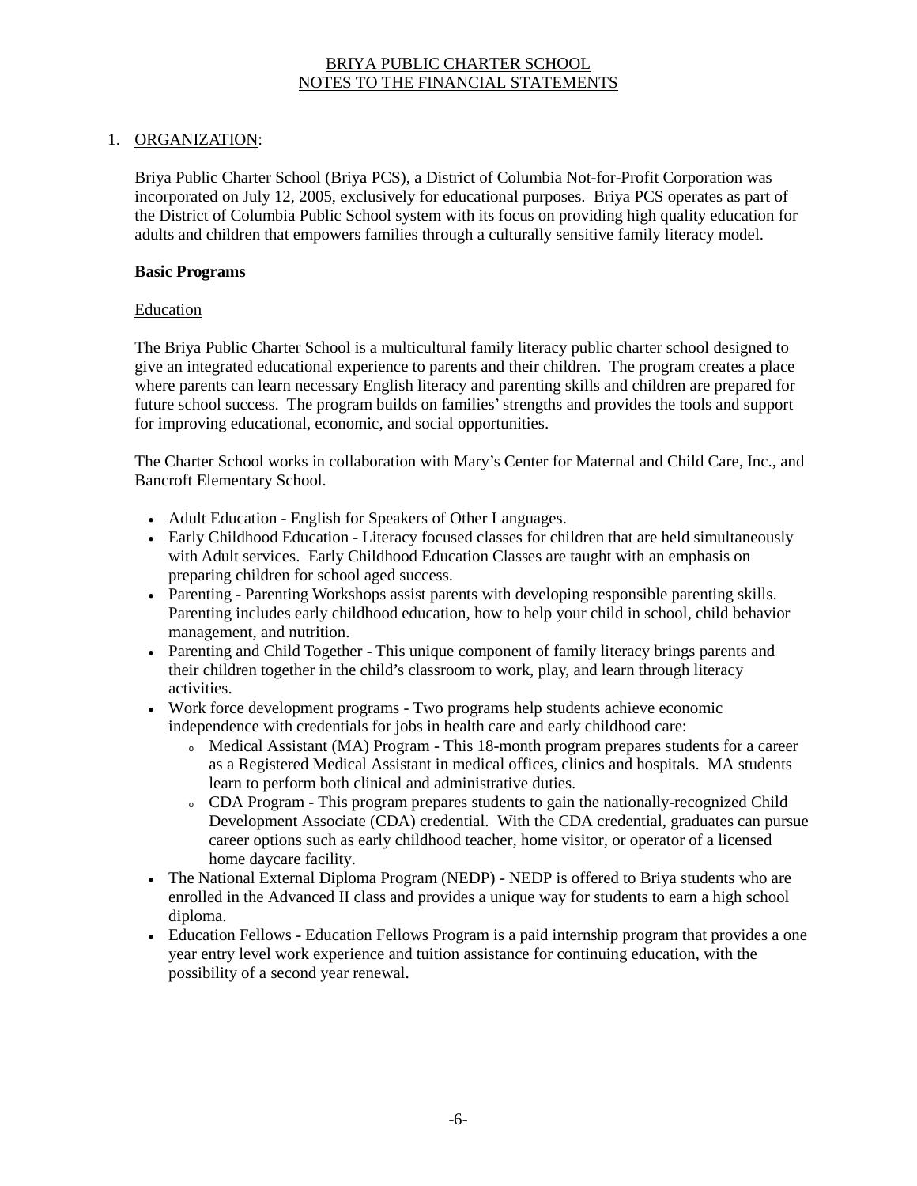### 1. ORGANIZATION:

Briya Public Charter School (Briya PCS), a District of Columbia Not-for-Profit Corporation was incorporated on July 12, 2005, exclusively for educational purposes. Briya PCS operates as part of the District of Columbia Public School system with its focus on providing high quality education for adults and children that empowers families through a culturally sensitive family literacy model.

#### **Basic Programs**

### **Education**

The Briya Public Charter School is a multicultural family literacy public charter school designed to give an integrated educational experience to parents and their children. The program creates a place where parents can learn necessary English literacy and parenting skills and children are prepared for future school success. The program builds on families' strengths and provides the tools and support for improving educational, economic, and social opportunities.

The Charter School works in collaboration with Mary's Center for Maternal and Child Care, Inc., and Bancroft Elementary School.

- Adult Education English for Speakers of Other Languages.
- Early Childhood Education Literacy focused classes for children that are held simultaneously with Adult services. Early Childhood Education Classes are taught with an emphasis on preparing children for school aged success.
- Parenting Parenting Workshops assist parents with developing responsible parenting skills. Parenting includes early childhood education, how to help your child in school, child behavior management, and nutrition.
- Parenting and Child Together This unique component of family literacy brings parents and their children together in the child's classroom to work, play, and learn through literacy activities.
- Work force development programs Two programs help students achieve economic independence with credentials for jobs in health care and early childhood care:
	- <sup>o</sup> Medical Assistant (MA) Program This 18-month program prepares students for a career as a Registered Medical Assistant in medical offices, clinics and hospitals. MA students learn to perform both clinical and administrative duties.
	- <sup>o</sup> CDA Program This program prepares students to gain the nationally-recognized Child Development Associate (CDA) credential. With the CDA credential, graduates can pursue career options such as early childhood teacher, home visitor, or operator of a licensed home daycare facility.
- The National External Diploma Program (NEDP) NEDP is offered to Briya students who are enrolled in the Advanced II class and provides a unique way for students to earn a high school diploma.
- Education Fellows Education Fellows Program is a paid internship program that provides a one year entry level work experience and tuition assistance for continuing education, with the possibility of a second year renewal.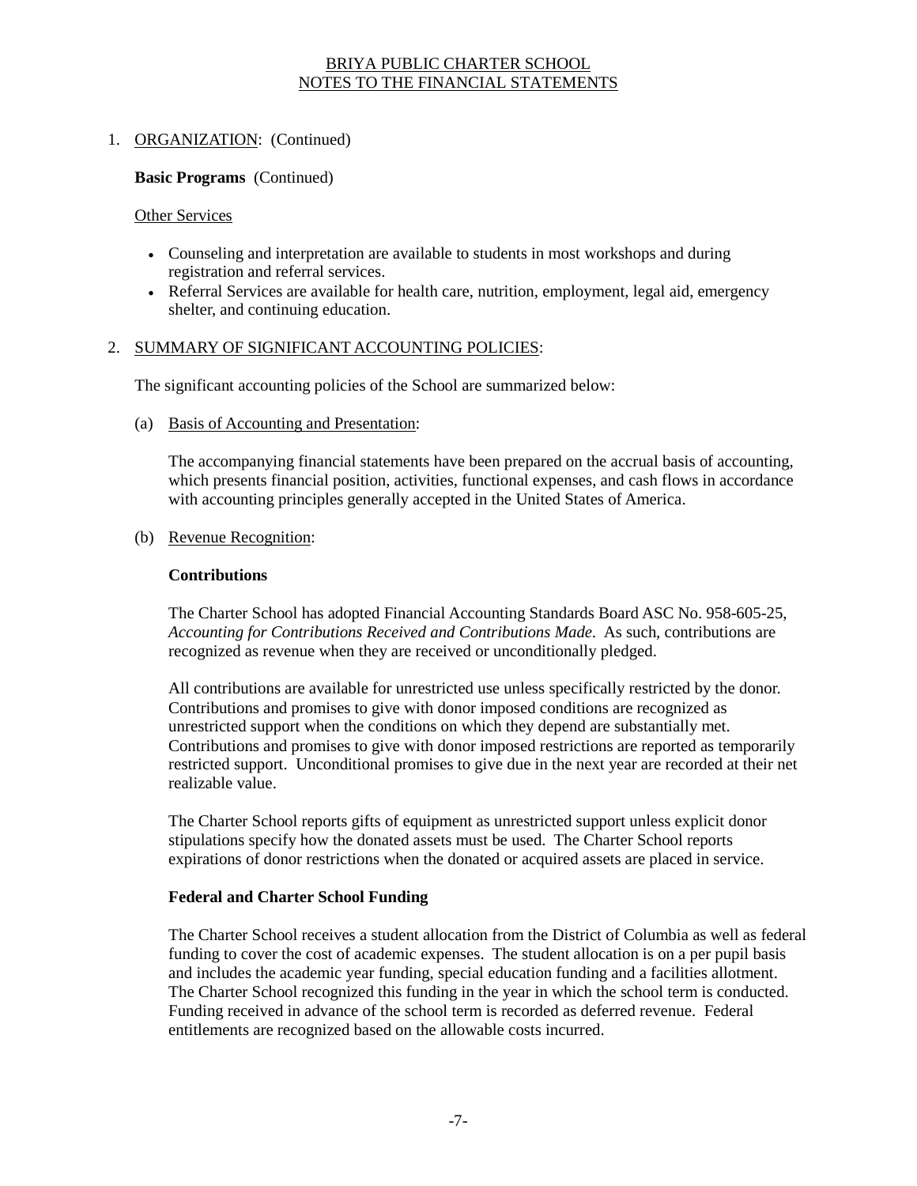### 1. ORGANIZATION: (Continued)

#### **Basic Programs** (Continued)

#### Other Services

- Counseling and interpretation are available to students in most workshops and during registration and referral services.
- Referral Services are available for health care, nutrition, employment, legal aid, emergency shelter, and continuing education.

#### 2. SUMMARY OF SIGNIFICANT ACCOUNTING POLICIES:

The significant accounting policies of the School are summarized below:

(a) Basis of Accounting and Presentation:

The accompanying financial statements have been prepared on the accrual basis of accounting, which presents financial position, activities, functional expenses, and cash flows in accordance with accounting principles generally accepted in the United States of America.

(b) Revenue Recognition:

#### **Contributions**

The Charter School has adopted Financial Accounting Standards Board ASC No. 958-605-25, *Accounting for Contributions Received and Contributions Made.* As such, contributions are recognized as revenue when they are received or unconditionally pledged.

All contributions are available for unrestricted use unless specifically restricted by the donor. Contributions and promises to give with donor imposed conditions are recognized as unrestricted support when the conditions on which they depend are substantially met. Contributions and promises to give with donor imposed restrictions are reported as temporarily restricted support. Unconditional promises to give due in the next year are recorded at their net realizable value.

The Charter School reports gifts of equipment as unrestricted support unless explicit donor stipulations specify how the donated assets must be used. The Charter School reports expirations of donor restrictions when the donated or acquired assets are placed in service.

#### **Federal and Charter School Funding**

The Charter School receives a student allocation from the District of Columbia as well as federal funding to cover the cost of academic expenses. The student allocation is on a per pupil basis and includes the academic year funding, special education funding and a facilities allotment. The Charter School recognized this funding in the year in which the school term is conducted. Funding received in advance of the school term is recorded as deferred revenue. Federal entitlements are recognized based on the allowable costs incurred.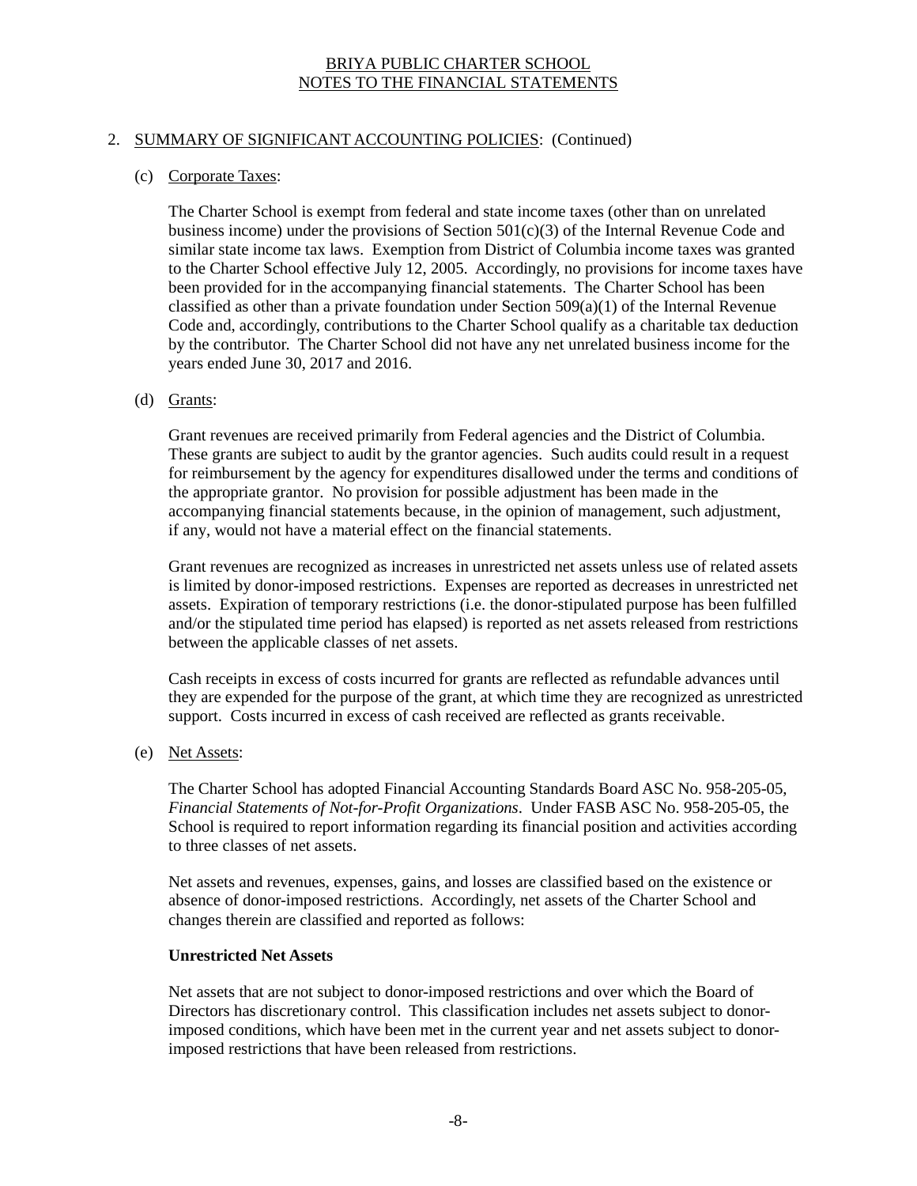### 2. SUMMARY OF SIGNIFICANT ACCOUNTING POLICIES: (Continued)

#### (c) Corporate Taxes:

The Charter School is exempt from federal and state income taxes (other than on unrelated business income) under the provisions of Section  $501(c)(3)$  of the Internal Revenue Code and similar state income tax laws. Exemption from District of Columbia income taxes was granted to the Charter School effective July 12, 2005. Accordingly, no provisions for income taxes have been provided for in the accompanying financial statements. The Charter School has been classified as other than a private foundation under Section  $509(a)(1)$  of the Internal Revenue Code and, accordingly, contributions to the Charter School qualify as a charitable tax deduction by the contributor. The Charter School did not have any net unrelated business income for the years ended June 30, 2017 and 2016.

#### (d) Grants:

Grant revenues are received primarily from Federal agencies and the District of Columbia. These grants are subject to audit by the grantor agencies. Such audits could result in a request for reimbursement by the agency for expenditures disallowed under the terms and conditions of the appropriate grantor. No provision for possible adjustment has been made in the accompanying financial statements because, in the opinion of management, such adjustment, if any, would not have a material effect on the financial statements.

Grant revenues are recognized as increases in unrestricted net assets unless use of related assets is limited by donor-imposed restrictions. Expenses are reported as decreases in unrestricted net assets. Expiration of temporary restrictions (i.e. the donor-stipulated purpose has been fulfilled and/or the stipulated time period has elapsed) is reported as net assets released from restrictions between the applicable classes of net assets.

Cash receipts in excess of costs incurred for grants are reflected as refundable advances until they are expended for the purpose of the grant, at which time they are recognized as unrestricted support. Costs incurred in excess of cash received are reflected as grants receivable.

(e) Net Assets:

The Charter School has adopted Financial Accounting Standards Board ASC No. 958-205-05, *Financial Statements of Not-for-Profit Organizations*. Under FASB ASC No. 958-205-05, the School is required to report information regarding its financial position and activities according to three classes of net assets.

Net assets and revenues, expenses, gains, and losses are classified based on the existence or absence of donor-imposed restrictions. Accordingly, net assets of the Charter School and changes therein are classified and reported as follows:

#### **Unrestricted Net Assets**

Net assets that are not subject to donor-imposed restrictions and over which the Board of Directors has discretionary control. This classification includes net assets subject to donorimposed conditions, which have been met in the current year and net assets subject to donorimposed restrictions that have been released from restrictions.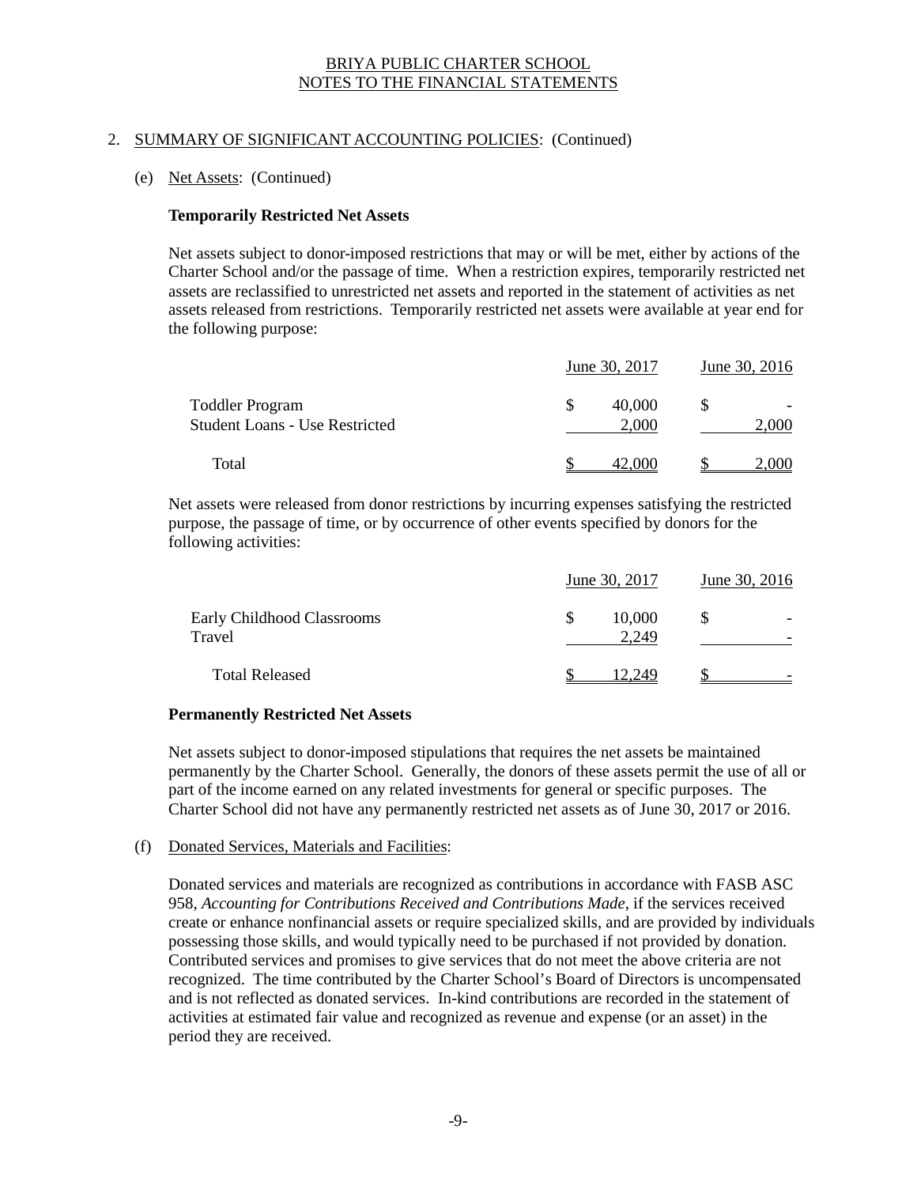### 2. SUMMARY OF SIGNIFICANT ACCOUNTING POLICIES: (Continued)

#### (e) Net Assets: (Continued)

#### **Temporarily Restricted Net Assets**

Net assets subject to donor-imposed restrictions that may or will be met, either by actions of the Charter School and/or the passage of time. When a restriction expires, temporarily restricted net assets are reclassified to unrestricted net assets and reported in the statement of activities as net assets released from restrictions. Temporarily restricted net assets were available at year end for the following purpose:

|                                                                 | June 30, 2017   | June 30, 2016 |
|-----------------------------------------------------------------|-----------------|---------------|
| <b>Toddler Program</b><br><b>Student Loans - Use Restricted</b> | 40,000<br>2.000 | 2,000         |
| Total                                                           | ()()()          |               |

Net assets were released from donor restrictions by incurring expenses satisfying the restricted purpose, the passage of time, or by occurrence of other events specified by donors for the following activities:

|                                      | June 30, 2017   | June 30, 2016 |
|--------------------------------------|-----------------|---------------|
| Early Childhood Classrooms<br>Travel | 10,000<br>2,249 |               |
| <b>Total Released</b>                | 12.249          | -             |

#### **Permanently Restricted Net Assets**

Net assets subject to donor-imposed stipulations that requires the net assets be maintained permanently by the Charter School. Generally, the donors of these assets permit the use of all or part of the income earned on any related investments for general or specific purposes. The Charter School did not have any permanently restricted net assets as of June 30, 2017 or 2016.

#### (f) Donated Services, Materials and Facilities:

Donated services and materials are recognized as contributions in accordance with FASB ASC 958, *Accounting for Contributions Received and Contributions Made*, if the services received create or enhance nonfinancial assets or require specialized skills, and are provided by individuals possessing those skills, and would typically need to be purchased if not provided by donation. Contributed services and promises to give services that do not meet the above criteria are not recognized. The time contributed by the Charter School's Board of Directors is uncompensated and is not reflected as donated services. In-kind contributions are recorded in the statement of activities at estimated fair value and recognized as revenue and expense (or an asset) in the period they are received.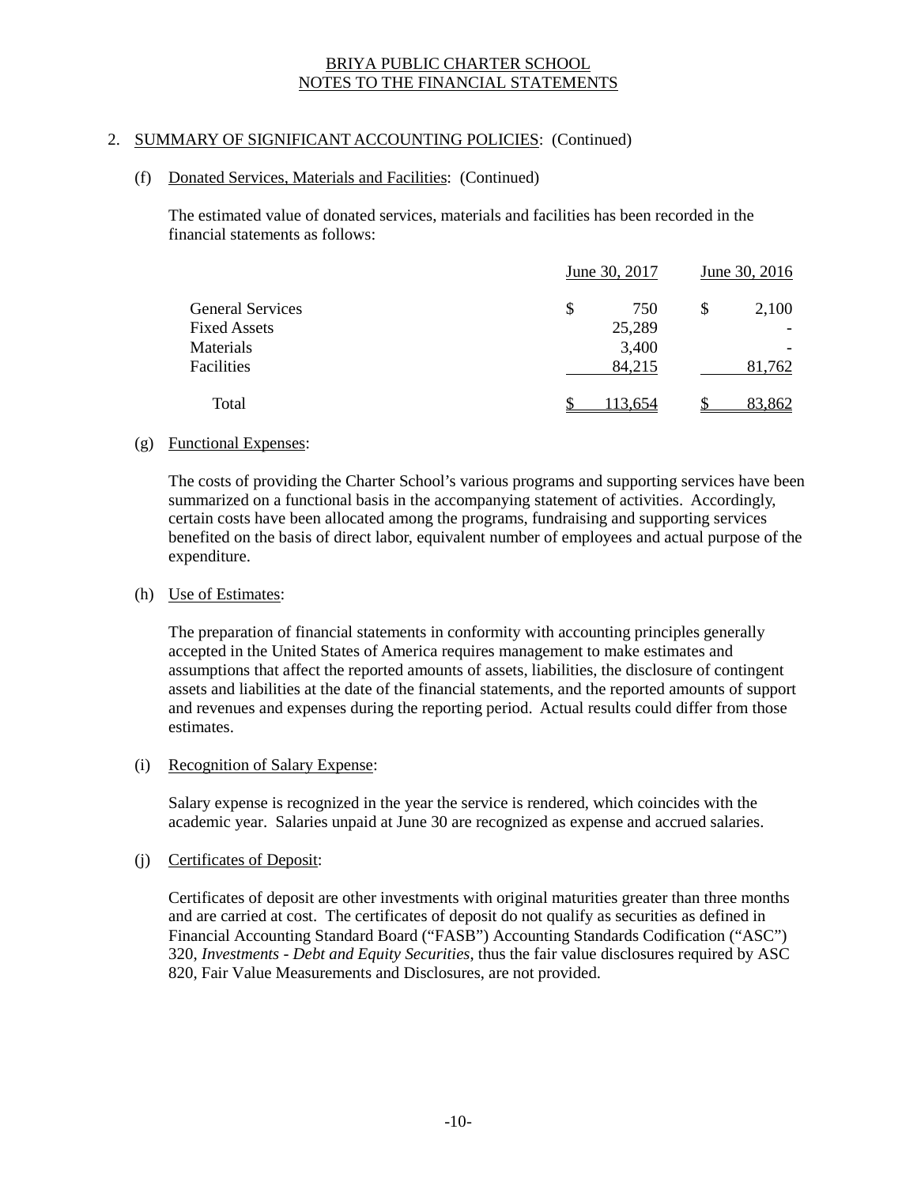### 2. SUMMARY OF SIGNIFICANT ACCOUNTING POLICIES: (Continued)

#### (f) Donated Services, Materials and Facilities: (Continued)

The estimated value of donated services, materials and facilities has been recorded in the financial statements as follows:

|                         | June 30, 2017 | June 30, 2016 |
|-------------------------|---------------|---------------|
| <b>General Services</b> | \$<br>750     | 2,100         |
| <b>Fixed Assets</b>     | 25,289        |               |
| Materials               | 3,400         |               |
| Facilities              | 84,215        | 81,762        |
| Total                   | 113.654       | 83,862        |

#### (g) Functional Expenses:

The costs of providing the Charter School's various programs and supporting services have been summarized on a functional basis in the accompanying statement of activities. Accordingly, certain costs have been allocated among the programs, fundraising and supporting services benefited on the basis of direct labor, equivalent number of employees and actual purpose of the expenditure.

#### (h) Use of Estimates:

The preparation of financial statements in conformity with accounting principles generally accepted in the United States of America requires management to make estimates and assumptions that affect the reported amounts of assets, liabilities, the disclosure of contingent assets and liabilities at the date of the financial statements, and the reported amounts of support and revenues and expenses during the reporting period. Actual results could differ from those estimates.

#### (i) Recognition of Salary Expense:

Salary expense is recognized in the year the service is rendered, which coincides with the academic year. Salaries unpaid at June 30 are recognized as expense and accrued salaries.

#### (j) Certificates of Deposit:

Certificates of deposit are other investments with original maturities greater than three months and are carried at cost. The certificates of deposit do not qualify as securities as defined in Financial Accounting Standard Board ("FASB") Accounting Standards Codification ("ASC") 320, *Investments - Debt and Equity Securities*, thus the fair value disclosures required by ASC 820, Fair Value Measurements and Disclosures, are not provided.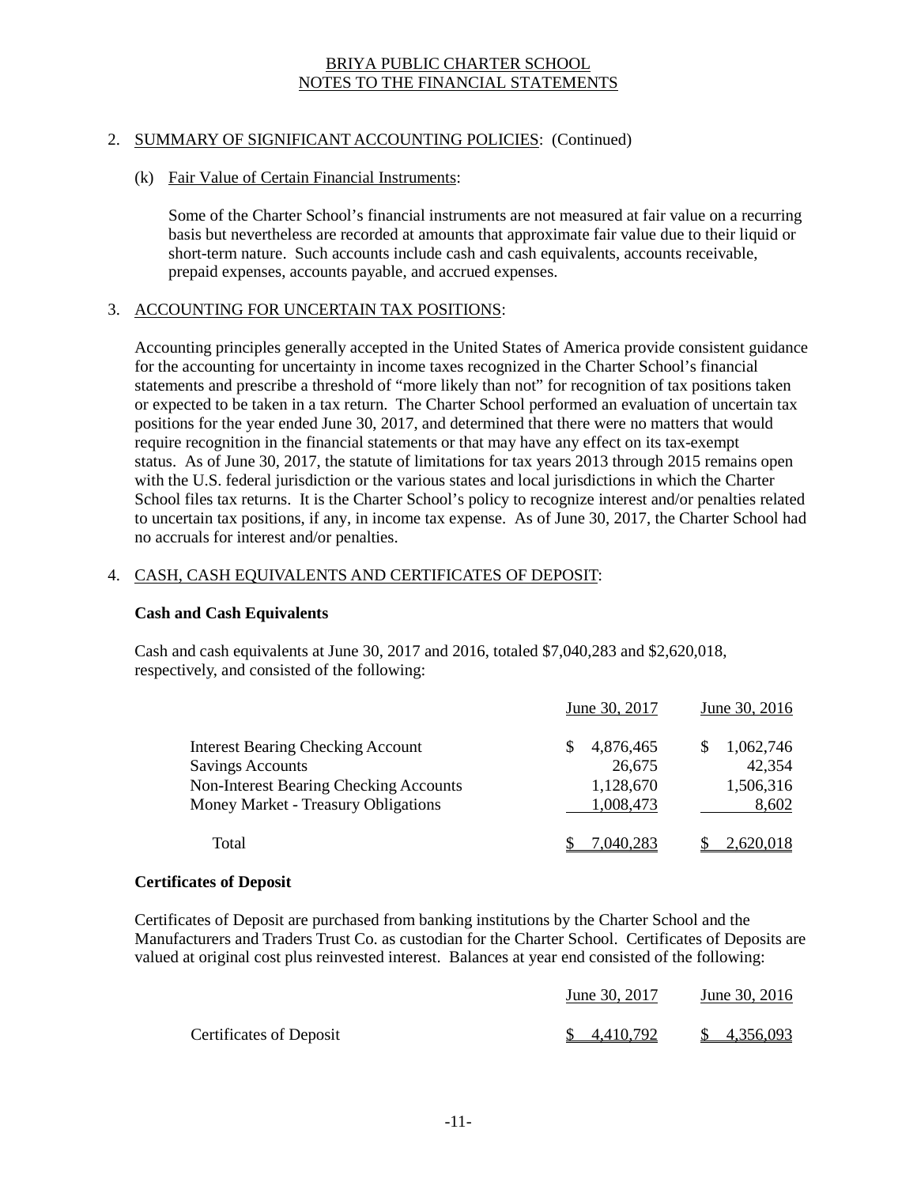### 2. SUMMARY OF SIGNIFICANT ACCOUNTING POLICIES: (Continued)

#### (k) Fair Value of Certain Financial Instruments:

Some of the Charter School's financial instruments are not measured at fair value on a recurring basis but nevertheless are recorded at amounts that approximate fair value due to their liquid or short-term nature. Such accounts include cash and cash equivalents, accounts receivable, prepaid expenses, accounts payable, and accrued expenses.

### 3. ACCOUNTING FOR UNCERTAIN TAX POSITIONS:

Accounting principles generally accepted in the United States of America provide consistent guidance for the accounting for uncertainty in income taxes recognized in the Charter School's financial statements and prescribe a threshold of "more likely than not" for recognition of tax positions taken or expected to be taken in a tax return. The Charter School performed an evaluation of uncertain tax positions for the year ended June 30, 2017, and determined that there were no matters that would require recognition in the financial statements or that may have any effect on its tax-exempt status. As of June 30, 2017, the statute of limitations for tax years 2013 through 2015 remains open with the U.S. federal jurisdiction or the various states and local jurisdictions in which the Charter School files tax returns. It is the Charter School's policy to recognize interest and/or penalties related to uncertain tax positions, if any, in income tax expense. As of June 30, 2017, the Charter School had no accruals for interest and/or penalties.

#### 4. CASH, CASH EQUIVALENTS AND CERTIFICATES OF DEPOSIT:

#### **Cash and Cash Equivalents**

Cash and cash equivalents at June 30, 2017 and 2016, totaled \$7,040,283 and \$2,620,018, respectively, and consisted of the following:

|                                               | June 30, 2017 | June 30, 2016 |
|-----------------------------------------------|---------------|---------------|
| <b>Interest Bearing Checking Account</b>      | 4,876,465     | 1,062,746     |
| <b>Savings Accounts</b>                       | 26,675        | 42,354        |
| <b>Non-Interest Bearing Checking Accounts</b> | 1,128,670     | 1,506,316     |
| Money Market - Treasury Obligations           | 1,008,473     | 8,602         |
| Total                                         | 7.040,283     | 2.620.018     |

#### **Certificates of Deposit**

Certificates of Deposit are purchased from banking institutions by the Charter School and the Manufacturers and Traders Trust Co. as custodian for the Charter School. Certificates of Deposits are valued at original cost plus reinvested interest. Balances at year end consisted of the following:

|                                | June 30, 2017 | June 30, 2016 |
|--------------------------------|---------------|---------------|
| <b>Certificates of Deposit</b> | \$ 4.410.792  | \$4,356,093   |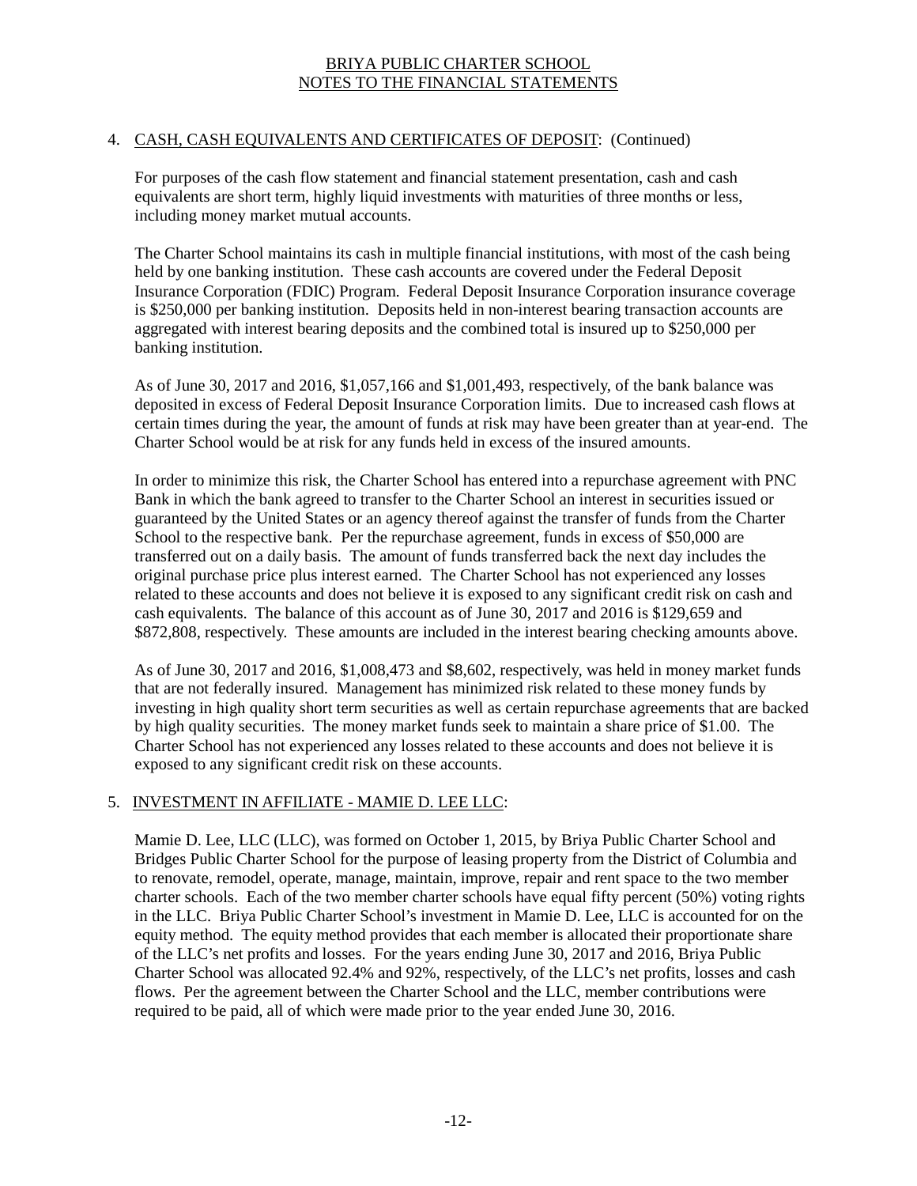### 4. CASH, CASH EQUIVALENTS AND CERTIFICATES OF DEPOSIT: (Continued)

For purposes of the cash flow statement and financial statement presentation, cash and cash equivalents are short term, highly liquid investments with maturities of three months or less, including money market mutual accounts.

The Charter School maintains its cash in multiple financial institutions, with most of the cash being held by one banking institution. These cash accounts are covered under the Federal Deposit Insurance Corporation (FDIC) Program. Federal Deposit Insurance Corporation insurance coverage is \$250,000 per banking institution. Deposits held in non-interest bearing transaction accounts are aggregated with interest bearing deposits and the combined total is insured up to \$250,000 per banking institution.

As of June 30, 2017 and 2016, \$1,057,166 and \$1,001,493, respectively, of the bank balance was deposited in excess of Federal Deposit Insurance Corporation limits. Due to increased cash flows at certain times during the year, the amount of funds at risk may have been greater than at year-end. The Charter School would be at risk for any funds held in excess of the insured amounts.

In order to minimize this risk, the Charter School has entered into a repurchase agreement with PNC Bank in which the bank agreed to transfer to the Charter School an interest in securities issued or guaranteed by the United States or an agency thereof against the transfer of funds from the Charter School to the respective bank. Per the repurchase agreement, funds in excess of \$50,000 are transferred out on a daily basis. The amount of funds transferred back the next day includes the original purchase price plus interest earned. The Charter School has not experienced any losses related to these accounts and does not believe it is exposed to any significant credit risk on cash and cash equivalents. The balance of this account as of June 30, 2017 and 2016 is \$129,659 and \$872,808, respectively. These amounts are included in the interest bearing checking amounts above.

As of June 30, 2017 and 2016, \$1,008,473 and \$8,602, respectively, was held in money market funds that are not federally insured. Management has minimized risk related to these money funds by investing in high quality short term securities as well as certain repurchase agreements that are backed by high quality securities. The money market funds seek to maintain a share price of \$1.00. The Charter School has not experienced any losses related to these accounts and does not believe it is exposed to any significant credit risk on these accounts.

### 5. INVESTMENT IN AFFILIATE - MAMIE D. LEE LLC:

Mamie D. Lee, LLC (LLC), was formed on October 1, 2015, by Briya Public Charter School and Bridges Public Charter School for the purpose of leasing property from the District of Columbia and to renovate, remodel, operate, manage, maintain, improve, repair and rent space to the two member charter schools. Each of the two member charter schools have equal fifty percent (50%) voting rights in the LLC. Briya Public Charter School's investment in Mamie D. Lee, LLC is accounted for on the equity method. The equity method provides that each member is allocated their proportionate share of the LLC's net profits and losses. For the years ending June 30, 2017 and 2016, Briya Public Charter School was allocated 92.4% and 92%, respectively, of the LLC's net profits, losses and cash flows. Per the agreement between the Charter School and the LLC, member contributions were required to be paid, all of which were made prior to the year ended June 30, 2016.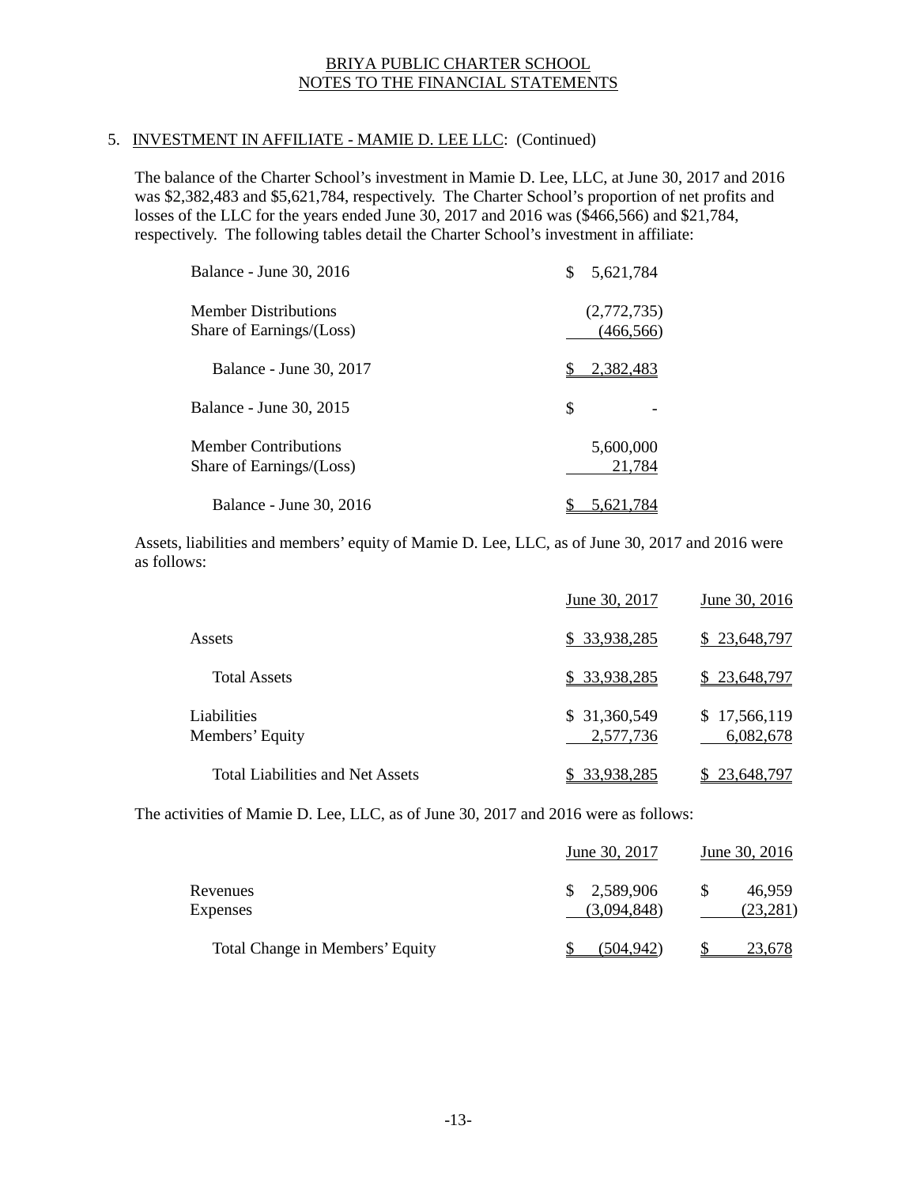### 5. INVESTMENT IN AFFILIATE - MAMIE D. LEE LLC: (Continued)

The balance of the Charter School's investment in Mamie D. Lee, LLC, at June 30, 2017 and 2016 was \$2,382,483 and \$5,621,784, respectively. The Charter School's proportion of net profits and losses of the LLC for the years ended June 30, 2017 and 2016 was (\$466,566) and \$21,784, respectively. The following tables detail the Charter School's investment in affiliate:

| Balance - June 30, 2016                                 | \$.<br>5,621,784          |
|---------------------------------------------------------|---------------------------|
| <b>Member Distributions</b><br>Share of Earnings/(Loss) | (2,772,735)<br>(466, 566) |
| Balance - June 30, 2017                                 | 2.382.483                 |
| Balance - June 30, 2015                                 | \$                        |
| <b>Member Contributions</b><br>Share of Earnings/(Loss) | 5,600,000<br>21,784       |
| Balance - June 30, 2016                                 | 5.621.784                 |

Assets, liabilities and members' equity of Mamie D. Lee, LLC, as of June 30, 2017 and 2016 were as follows:

|                                         | June 30, 2017              | June 30, 2016             |
|-----------------------------------------|----------------------------|---------------------------|
| Assets                                  | \$33,938,285               | \$23,648,797              |
| <b>Total Assets</b>                     | \$33,938,285               | \$23,648,797              |
| Liabilities<br>Members' Equity          | \$ 31,360,549<br>2,577,736 | \$17,566,119<br>6,082,678 |
| <b>Total Liabilities and Net Assets</b> | 33,938,285                 | <u>23,648,797</u>         |

The activities of Mamie D. Lee, LLC, as of June 30, 2017 and 2016 were as follows:

|                                 | June 30, 2017                  | June 30, 2016      |
|---------------------------------|--------------------------------|--------------------|
| Revenues<br><b>Expenses</b>     | 2,589,906<br>S.<br>(3.094.848) | 46,959<br>(23,281) |
| Total Change in Members' Equity | (504.942)                      | 23,678             |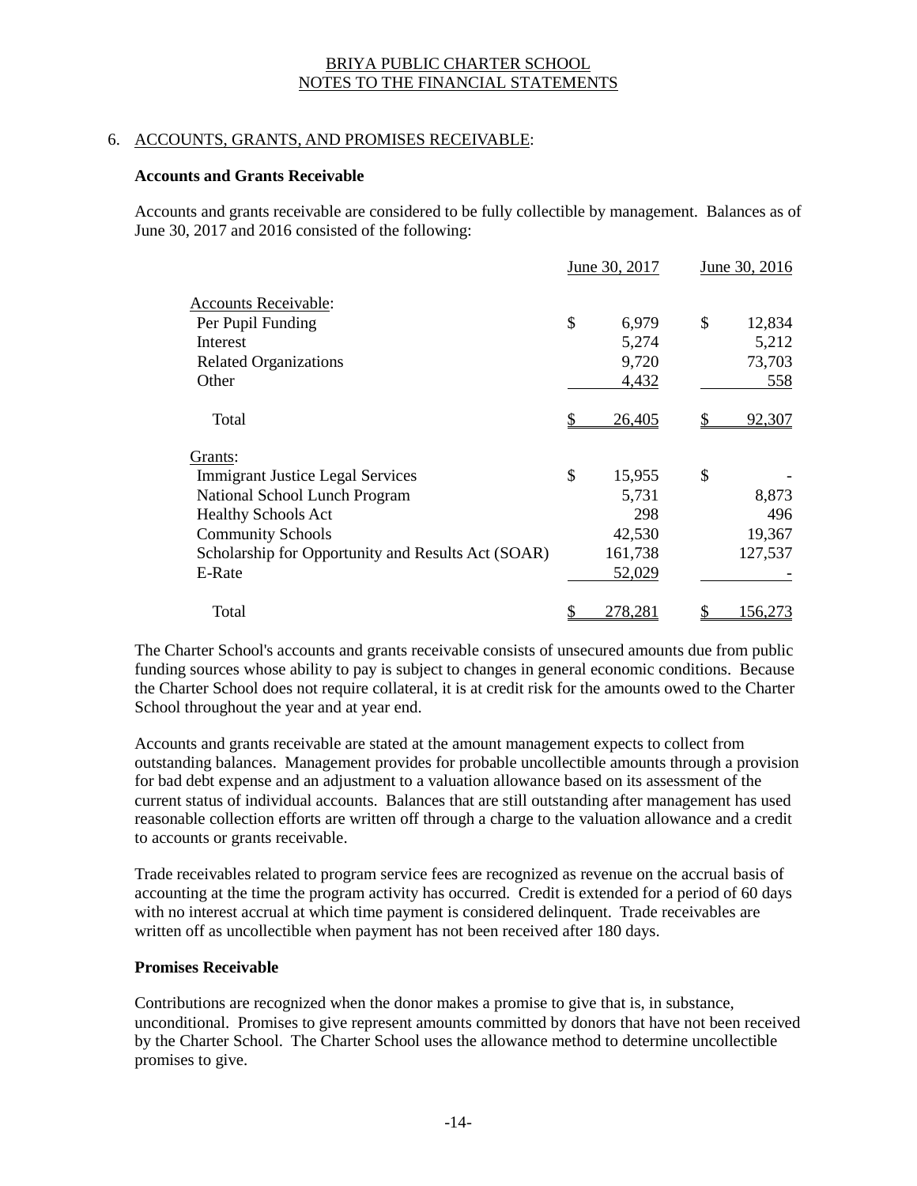### 6. ACCOUNTS, GRANTS, AND PROMISES RECEIVABLE:

#### **Accounts and Grants Receivable**

Accounts and grants receivable are considered to be fully collectible by management. Balances as of June 30, 2017 and 2016 consisted of the following:

|                                                    |    | June 30, 2017 | June 30, 2016 |
|----------------------------------------------------|----|---------------|---------------|
| <b>Accounts Receivable:</b>                        |    |               |               |
| Per Pupil Funding                                  | \$ | 6,979         | \$<br>12,834  |
| Interest                                           |    | 5,274         | 5,212         |
| <b>Related Organizations</b>                       |    | 9,720         | 73,703        |
| Other                                              |    | 4,432         | 558           |
| Total                                              | S  | 26,405        | 92,307        |
| Grants:                                            |    |               |               |
| <b>Immigrant Justice Legal Services</b>            | \$ | 15,955        | \$            |
| National School Lunch Program                      |    | 5,731         | 8,873         |
| <b>Healthy Schools Act</b>                         |    | 298           | 496           |
| <b>Community Schools</b>                           |    | 42,530        | 19,367        |
| Scholarship for Opportunity and Results Act (SOAR) |    | 161,738       | 127,537       |
| E-Rate                                             |    | 52,029        |               |
| Total                                              |    | 278,281       | 156.273       |

The Charter School's accounts and grants receivable consists of unsecured amounts due from public funding sources whose ability to pay is subject to changes in general economic conditions. Because the Charter School does not require collateral, it is at credit risk for the amounts owed to the Charter School throughout the year and at year end.

Accounts and grants receivable are stated at the amount management expects to collect from outstanding balances. Management provides for probable uncollectible amounts through a provision for bad debt expense and an adjustment to a valuation allowance based on its assessment of the current status of individual accounts. Balances that are still outstanding after management has used reasonable collection efforts are written off through a charge to the valuation allowance and a credit to accounts or grants receivable.

Trade receivables related to program service fees are recognized as revenue on the accrual basis of accounting at the time the program activity has occurred. Credit is extended for a period of 60 days with no interest accrual at which time payment is considered delinquent. Trade receivables are written off as uncollectible when payment has not been received after 180 days.

#### **Promises Receivable**

Contributions are recognized when the donor makes a promise to give that is, in substance, unconditional. Promises to give represent amounts committed by donors that have not been received by the Charter School. The Charter School uses the allowance method to determine uncollectible promises to give.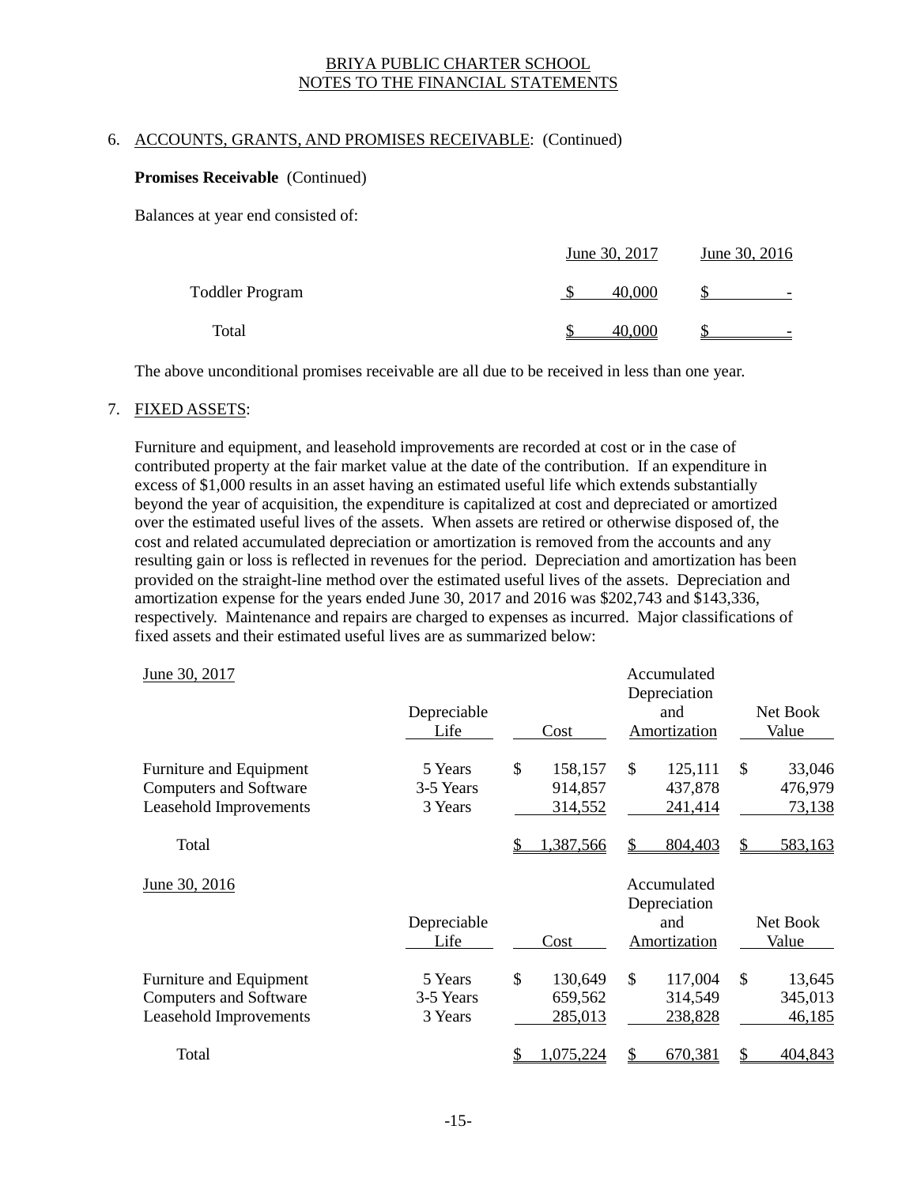### 6. ACCOUNTS, GRANTS, AND PROMISES RECEIVABLE: (Continued)

#### **Promises Receivable** (Continued)

Balances at year end consisted of:

|                        | June 30, 2017 | June 30, 2016            |
|------------------------|---------------|--------------------------|
| <b>Toddler Program</b> | 40,000        | $\overline{\phantom{0}}$ |
| Total                  | (1)(1)        | -                        |

The above unconditional promises receivable are all due to be received in less than one year.

#### 7. FIXED ASSETS:

Furniture and equipment, and leasehold improvements are recorded at cost or in the case of contributed property at the fair market value at the date of the contribution. If an expenditure in excess of \$1,000 results in an asset having an estimated useful life which extends substantially beyond the year of acquisition, the expenditure is capitalized at cost and depreciated or amortized over the estimated useful lives of the assets. When assets are retired or otherwise disposed of, the cost and related accumulated depreciation or amortization is removed from the accounts and any resulting gain or loss is reflected in revenues for the period. Depreciation and amortization has been provided on the straight-line method over the estimated useful lives of the assets. Depreciation and amortization expense for the years ended June 30, 2017 and 2016 was \$202,743 and \$143,336, respectively. Maintenance and repairs are charged to expenses as incurred. Major classifications of fixed assets and their estimated useful lives are as summarized below:

| June 30, 2017                 |             |               | Accumulated<br>Depreciation |              |
|-------------------------------|-------------|---------------|-----------------------------|--------------|
|                               | Depreciable |               | and                         | Net Book     |
|                               | Life        | Cost          | Amortization                | Value        |
| Furniture and Equipment       | 5 Years     | \$<br>158,157 | $\mathbb{S}$<br>125,111     | \$<br>33,046 |
| Computers and Software        | 3-5 Years   | 914,857       | 437,878                     | 476,979      |
| Leasehold Improvements        | 3 Years     | 314,552       | 241,414                     | 73,138       |
| Total                         |             | ,387,566      | 804,403                     | 583,163      |
| June 30, 2016                 |             |               | Accumulated                 |              |
|                               |             |               | Depreciation                |              |
|                               | Depreciable |               | and                         | Net Book     |
|                               | Life        | Cost          | Amortization                | Value        |
| Furniture and Equipment       | 5 Years     | \$<br>130,649 | $\mathbb{S}$<br>117,004     | \$<br>13,645 |
| <b>Computers and Software</b> | 3-5 Years   | 659,562       | 314,549                     | 345,013      |
| Leasehold Improvements        | 3 Years     | 285,013       | 238,828                     | 46,185       |
| Total                         |             | ,075,224      | 670,381                     | 404,843      |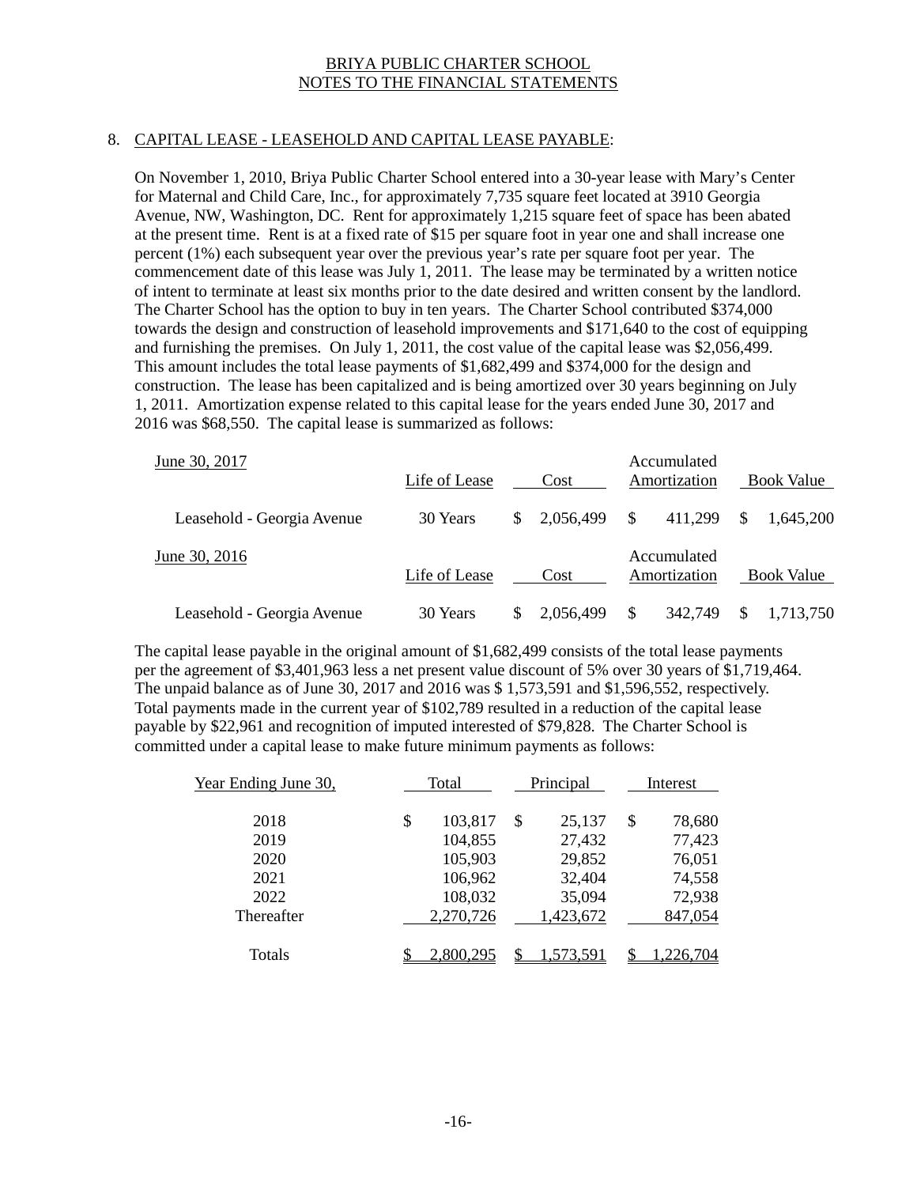### 8. CAPITAL LEASE - LEASEHOLD AND CAPITAL LEASE PAYABLE:

On November 1, 2010, Briya Public Charter School entered into a 30-year lease with Mary's Center for Maternal and Child Care, Inc., for approximately 7,735 square feet located at 3910 Georgia Avenue, NW, Washington, DC. Rent for approximately 1,215 square feet of space has been abated at the present time. Rent is at a fixed rate of \$15 per square foot in year one and shall increase one percent (1%) each subsequent year over the previous year's rate per square foot per year. The commencement date of this lease was July 1, 2011. The lease may be terminated by a written notice of intent to terminate at least six months prior to the date desired and written consent by the landlord. The Charter School has the option to buy in ten years. The Charter School contributed \$374,000 towards the design and construction of leasehold improvements and \$171,640 to the cost of equipping and furnishing the premises. On July 1, 2011, the cost value of the capital lease was \$2,056,499. This amount includes the total lease payments of \$1,682,499 and \$374,000 for the design and construction. The lease has been capitalized and is being amortized over 30 years beginning on July 1, 2011. Amortization expense related to this capital lease for the years ended June 30, 2017 and 2016 was \$68,550. The capital lease is summarized as follows:

| June 30, 2017              | Life of Lease |     | Cost      | Accumulated<br>Amortization |     | <b>Book Value</b> |
|----------------------------|---------------|-----|-----------|-----------------------------|-----|-------------------|
| Leasehold - Georgia Avenue | 30 Years      | \$. | 2,056,499 | \$<br>411,299               | \$. | 1,645,200         |
| June 30, 2016              | Life of Lease |     | Cost      | Accumulated<br>Amortization |     | <b>Book Value</b> |
| Leasehold - Georgia Avenue | 30 Years      | S   | 2,056,499 | \$<br>342,749               | S   | 1,713,750         |

The capital lease payable in the original amount of \$1,682,499 consists of the total lease payments per the agreement of \$3,401,963 less a net present value discount of 5% over 30 years of \$1,719,464. The unpaid balance as of June 30, 2017 and 2016 was \$ 1,573,591 and \$1,596,552, respectively. Total payments made in the current year of \$102,789 resulted in a reduction of the capital lease payable by \$22,961 and recognition of imputed interested of \$79,828. The Charter School is committed under a capital lease to make future minimum payments as follows:

| Year Ending June 30, | Total         | Principal    | Interest     |
|----------------------|---------------|--------------|--------------|
| 2018                 | \$<br>103,817 | \$<br>25,137 | \$<br>78,680 |
| 2019                 | 104,855       | 27,432       | 77,423       |
| 2020                 | 105,903       | 29,852       | 76,051       |
| 2021                 | 106,962       | 32,404       | 74,558       |
| 2022                 | 108,032       | 35,094       | 72,938       |
| Thereafter           | 2,270,726     | 1,423,672    | 847,054      |
| Totals               | 2,800,295     | 1,573,591    | ,226,704     |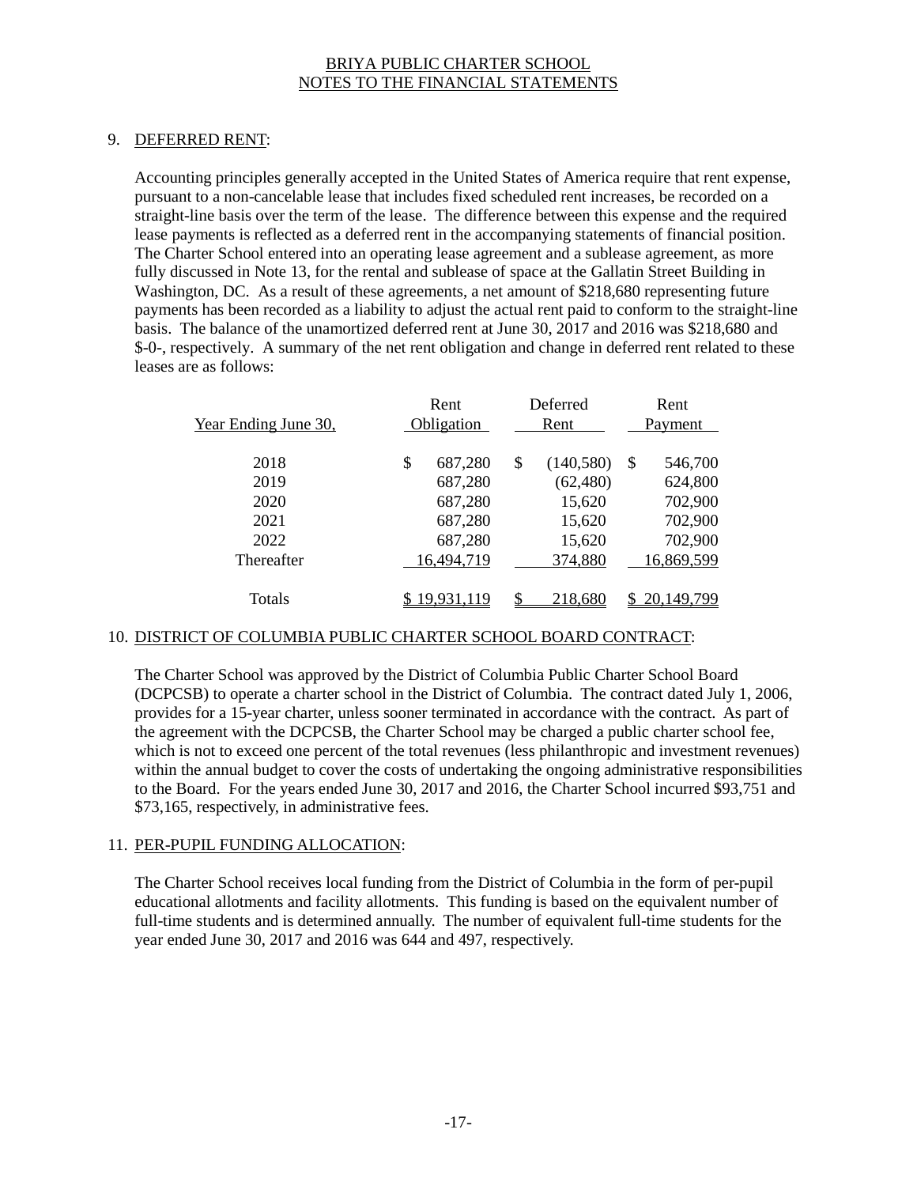### 9. DEFERRED RENT:

Accounting principles generally accepted in the United States of America require that rent expense, pursuant to a non-cancelable lease that includes fixed scheduled rent increases, be recorded on a straight-line basis over the term of the lease. The difference between this expense and the required lease payments is reflected as a deferred rent in the accompanying statements of financial position. The Charter School entered into an operating lease agreement and a sublease agreement, as more fully discussed in Note 13, for the rental and sublease of space at the Gallatin Street Building in Washington, DC. As a result of these agreements, a net amount of \$218,680 representing future payments has been recorded as a liability to adjust the actual rent paid to conform to the straight-line basis. The balance of the unamortized deferred rent at June 30, 2017 and 2016 was \$218,680 and \$-0-, respectively. A summary of the net rent obligation and change in deferred rent related to these leases are as follows:

|                      | Rent          | Deferred         |    | Rent       |
|----------------------|---------------|------------------|----|------------|
| Year Ending June 30, | Obligation    | Rent             |    | Payment    |
|                      |               |                  |    |            |
| 2018                 | \$<br>687,280 | \$<br>(140, 580) | \$ | 546,700    |
| 2019                 | 687,280       | (62, 480)        |    | 624,800    |
| 2020                 | 687,280       | 15,620           |    | 702,900    |
| 2021                 | 687,280       | 15,620           |    | 702,900    |
| 2022                 | 687,280       | 15,620           |    | 702,900    |
| Thereafter           | 16,494,719    | 374,880          |    | 16,869,599 |
| Totals               | 19.931.119    | \$<br>218,680    | S  | 20.149.799 |

#### 10. DISTRICT OF COLUMBIA PUBLIC CHARTER SCHOOL BOARD CONTRACT:

The Charter School was approved by the District of Columbia Public Charter School Board (DCPCSB) to operate a charter school in the District of Columbia. The contract dated July 1, 2006, provides for a 15-year charter, unless sooner terminated in accordance with the contract. As part of the agreement with the DCPCSB, the Charter School may be charged a public charter school fee, which is not to exceed one percent of the total revenues (less philanthropic and investment revenues) within the annual budget to cover the costs of undertaking the ongoing administrative responsibilities to the Board. For the years ended June 30, 2017 and 2016, the Charter School incurred \$93,751 and \$73,165, respectively, in administrative fees.

### 11. PER-PUPIL FUNDING ALLOCATION:

The Charter School receives local funding from the District of Columbia in the form of per-pupil educational allotments and facility allotments. This funding is based on the equivalent number of full-time students and is determined annually. The number of equivalent full-time students for the year ended June 30, 2017 and 2016 was 644 and 497, respectively.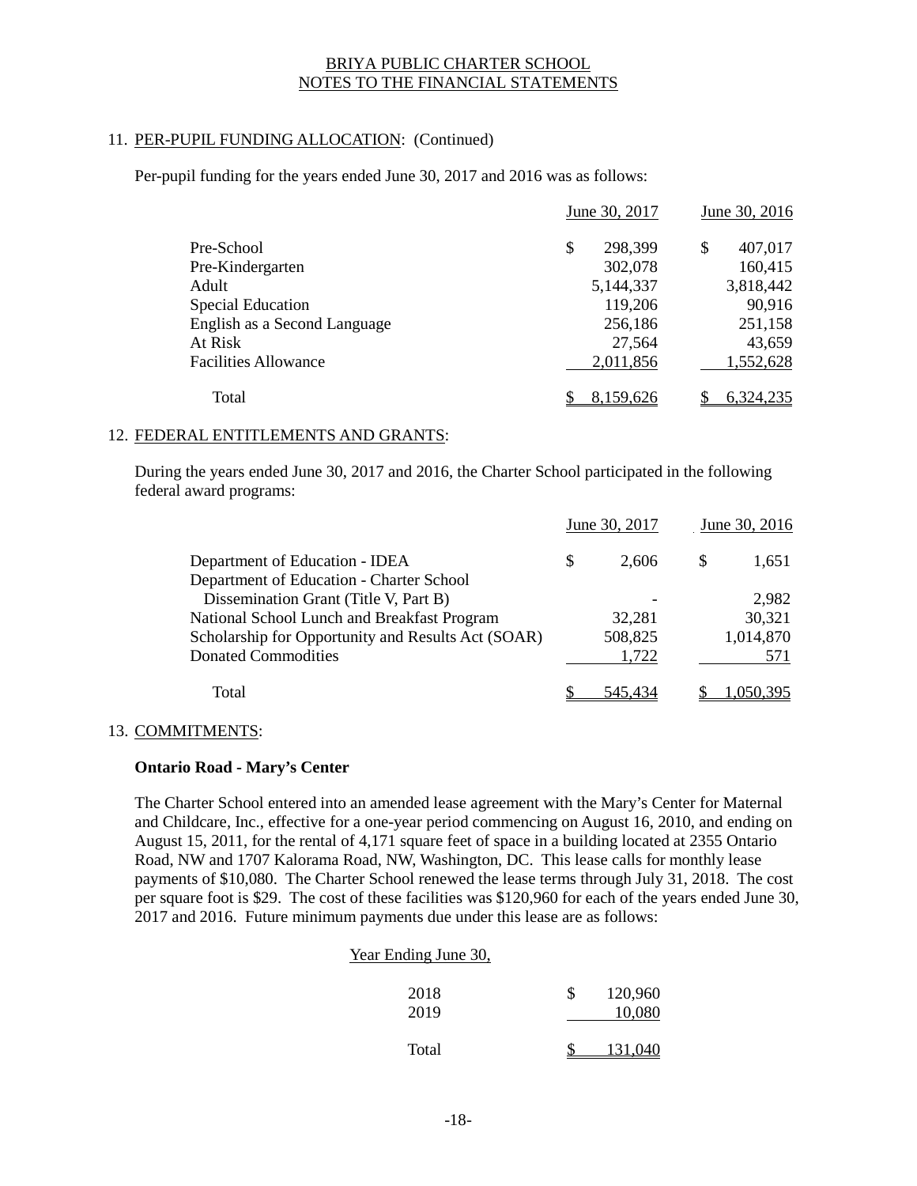### 11. PER-PUPIL FUNDING ALLOCATION: (Continued)

Per-pupil funding for the years ended June 30, 2017 and 2016 was as follows:

|                              | June 30, 2017 | June 30, 2016 |
|------------------------------|---------------|---------------|
| Pre-School                   | \$<br>298,399 | \$<br>407,017 |
| Pre-Kindergarten             | 302,078       | 160,415       |
| Adult                        | 5,144,337     | 3,818,442     |
| <b>Special Education</b>     | 119,206       | 90,916        |
| English as a Second Language | 256,186       | 251,158       |
| At Risk                      | 27,564        | 43,659        |
| <b>Facilities Allowance</b>  | 2,011,856     | 1,552,628     |
| Total                        | 8,159,626     | 6,324,235     |

#### 12. FEDERAL ENTITLEMENTS AND GRANTS:

During the years ended June 30, 2017 and 2016, the Charter School participated in the following federal award programs:

|                                                    |   | June 30, 2017 |   | June 30, 2016 |
|----------------------------------------------------|---|---------------|---|---------------|
| Department of Education - IDEA                     | S | 2.606         | S | 1,651         |
| Department of Education - Charter School           |   |               |   |               |
| Dissemination Grant (Title V, Part B)              |   |               |   | 2,982         |
| National School Lunch and Breakfast Program        |   | 32,281        |   | 30,321        |
| Scholarship for Opportunity and Results Act (SOAR) |   | 508,825       |   | 1,014,870     |
| <b>Donated Commodities</b>                         |   | 1,722         |   | 571           |
| Total                                              |   | 545.4         |   |               |

#### 13. COMMITMENTS:

#### **Ontario Road - Mary's Center**

The Charter School entered into an amended lease agreement with the Mary's Center for Maternal and Childcare, Inc., effective for a one-year period commencing on August 16, 2010, and ending on August 15, 2011, for the rental of 4,171 square feet of space in a building located at 2355 Ontario Road, NW and 1707 Kalorama Road, NW, Washington, DC. This lease calls for monthly lease payments of \$10,080. The Charter School renewed the lease terms through July 31, 2018. The cost per square foot is \$29. The cost of these facilities was \$120,960 for each of the years ended June 30, 2017 and 2016. Future minimum payments due under this lease are as follows:

| Year Ending June 30, |  |
|----------------------|--|
|                      |  |

| 2018<br>2019 | S | 120,960<br>10,080 |
|--------------|---|-------------------|
| Total        |   | 131.040           |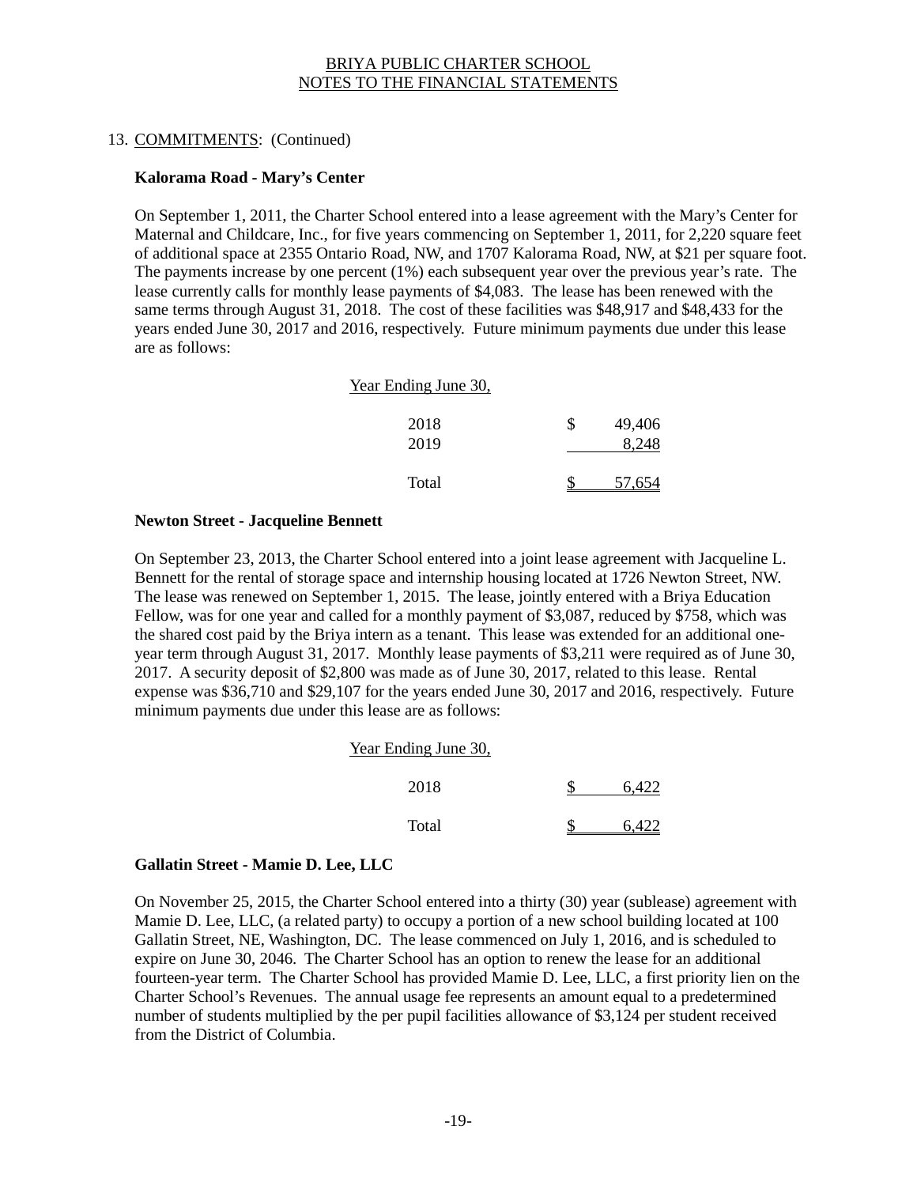### 13. COMMITMENTS: (Continued)

#### **Kalorama Road - Mary's Center**

On September 1, 2011, the Charter School entered into a lease agreement with the Mary's Center for Maternal and Childcare, Inc., for five years commencing on September 1, 2011, for 2,220 square feet of additional space at 2355 Ontario Road, NW, and 1707 Kalorama Road, NW, at \$21 per square foot. The payments increase by one percent (1%) each subsequent year over the previous year's rate. The lease currently calls for monthly lease payments of \$4,083. The lease has been renewed with the same terms through August 31, 2018. The cost of these facilities was \$48,917 and \$48,433 for the years ended June 30, 2017 and 2016, respectively. Future minimum payments due under this lease are as follows:

| Year Ending June 30, |   |                 |
|----------------------|---|-----------------|
| 2018<br>2019         | S | 49,406<br>8,248 |
| Total                |   | 57,654          |

#### **Newton Street - Jacqueline Bennett**

On September 23, 2013, the Charter School entered into a joint lease agreement with Jacqueline L. Bennett for the rental of storage space and internship housing located at 1726 Newton Street, NW. The lease was renewed on September 1, 2015. The lease, jointly entered with a Briya Education Fellow, was for one year and called for a monthly payment of \$3,087, reduced by \$758, which was the shared cost paid by the Briya intern as a tenant. This lease was extended for an additional oneyear term through August 31, 2017. Monthly lease payments of \$3,211 were required as of June 30, 2017. A security deposit of \$2,800 was made as of June 30, 2017, related to this lease. Rental expense was \$36,710 and \$29,107 for the years ended June 30, 2017 and 2016, respectively. Future minimum payments due under this lease are as follows:

| Year Ending June 30, |       |
|----------------------|-------|
| 2018                 | 6.422 |
| Total                |       |

#### **Gallatin Street - Mamie D. Lee, LLC**

On November 25, 2015, the Charter School entered into a thirty (30) year (sublease) agreement with Mamie D. Lee, LLC, (a related party) to occupy a portion of a new school building located at 100 Gallatin Street, NE, Washington, DC. The lease commenced on July 1, 2016, and is scheduled to expire on June 30, 2046. The Charter School has an option to renew the lease for an additional fourteen-year term. The Charter School has provided Mamie D. Lee, LLC, a first priority lien on the Charter School's Revenues. The annual usage fee represents an amount equal to a predetermined number of students multiplied by the per pupil facilities allowance of \$3,124 per student received from the District of Columbia.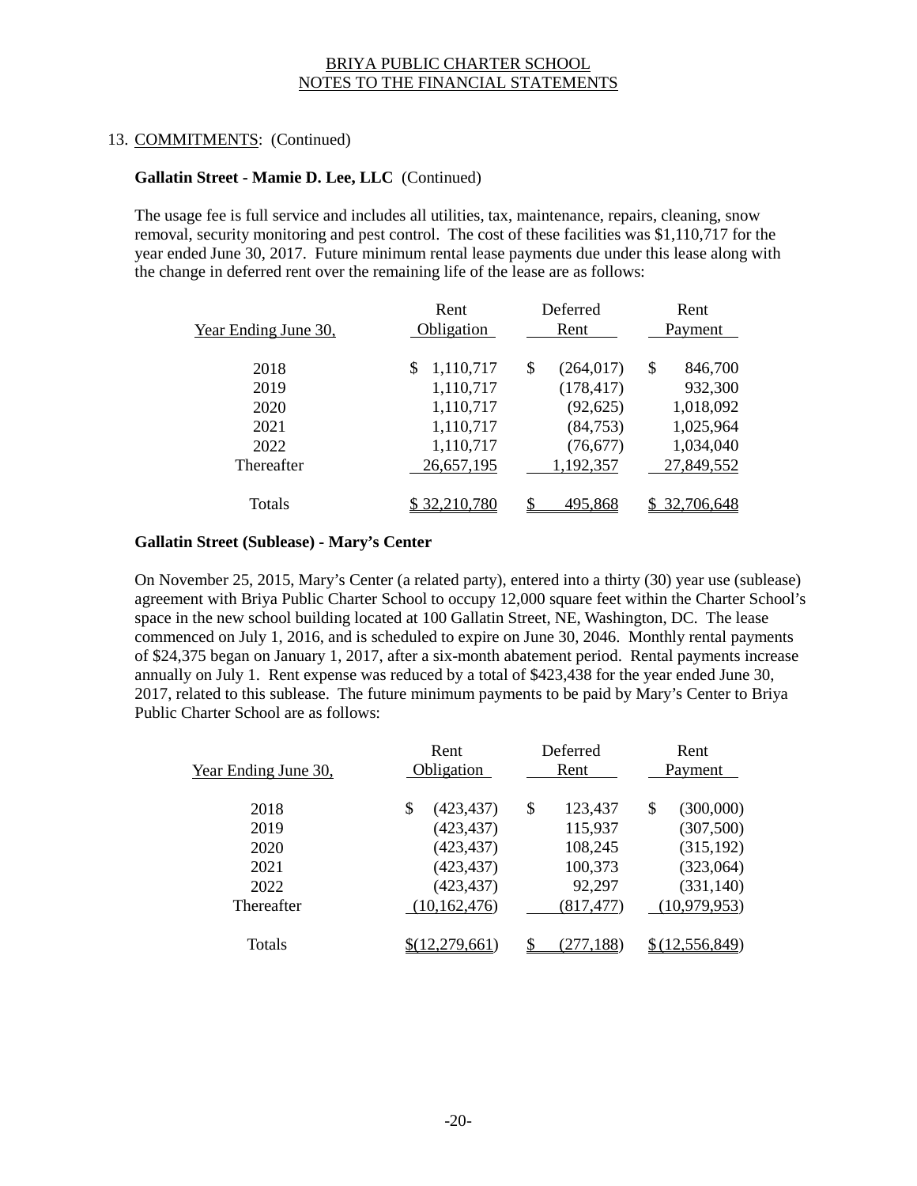### 13. COMMITMENTS: (Continued)

### **Gallatin Street - Mamie D. Lee, LLC** (Continued)

The usage fee is full service and includes all utilities, tax, maintenance, repairs, cleaning, snow removal, security monitoring and pest control. The cost of these facilities was \$1,110,717 for the year ended June 30, 2017. Future minimum rental lease payments due under this lease along with the change in deferred rent over the remaining life of the lease are as follows:

|                      | Rent            | Deferred         | Rent          |
|----------------------|-----------------|------------------|---------------|
| Year Ending June 30, | Obligation      | Rent             | Payment       |
| 2018                 | 1,110,717<br>\$ | \$<br>(264, 017) | \$<br>846,700 |
| 2019                 | 1,110,717       | (178, 417)       | 932,300       |
| 2020                 | 1,110,717       | (92, 625)        | 1,018,092     |
| 2021                 | 1,110,717       | (84, 753)        | 1,025,964     |
| 2022                 | 1,110,717       | (76, 677)        | 1,034,040     |
| Thereafter           | 26,657,195      | 1,192,357        | 27,849,552    |
| Totals               |                 | ¢<br>495.868     | 32.706.648    |

#### **Gallatin Street (Sublease) - Mary's Center**

On November 25, 2015, Mary's Center (a related party), entered into a thirty (30) year use (sublease) agreement with Briya Public Charter School to occupy 12,000 square feet within the Charter School's space in the new school building located at 100 Gallatin Street, NE, Washington, DC. The lease commenced on July 1, 2016, and is scheduled to expire on June 30, 2046. Monthly rental payments of \$24,375 began on January 1, 2017, after a six-month abatement period. Rental payments increase annually on July 1. Rent expense was reduced by a total of \$423,438 for the year ended June 30, 2017, related to this sublease. The future minimum payments to be paid by Mary's Center to Briya Public Charter School are as follows:

|                      | Rent             | Deferred      | Rent<br>Payment |  |
|----------------------|------------------|---------------|-----------------|--|
| Year Ending June 30, | Obligation       | Rent          |                 |  |
| 2018                 | (423, 437)<br>\$ | \$<br>123,437 | (300,000)<br>\$ |  |
| 2019                 | (423, 437)       | 115,937       | (307,500)       |  |
| 2020                 | (423, 437)       | 108,245       | (315, 192)      |  |
| 2021                 | (423, 437)       | 100,373       | (323,064)       |  |
| 2022                 | (423, 437)       | 92,297        | (331, 140)      |  |
| Thereafter           | (10,162,476)     | (817, 477)    | (10, 979, 953)  |  |
| <b>Totals</b>        | 2.279.661        | '.188         | (12.556.849)    |  |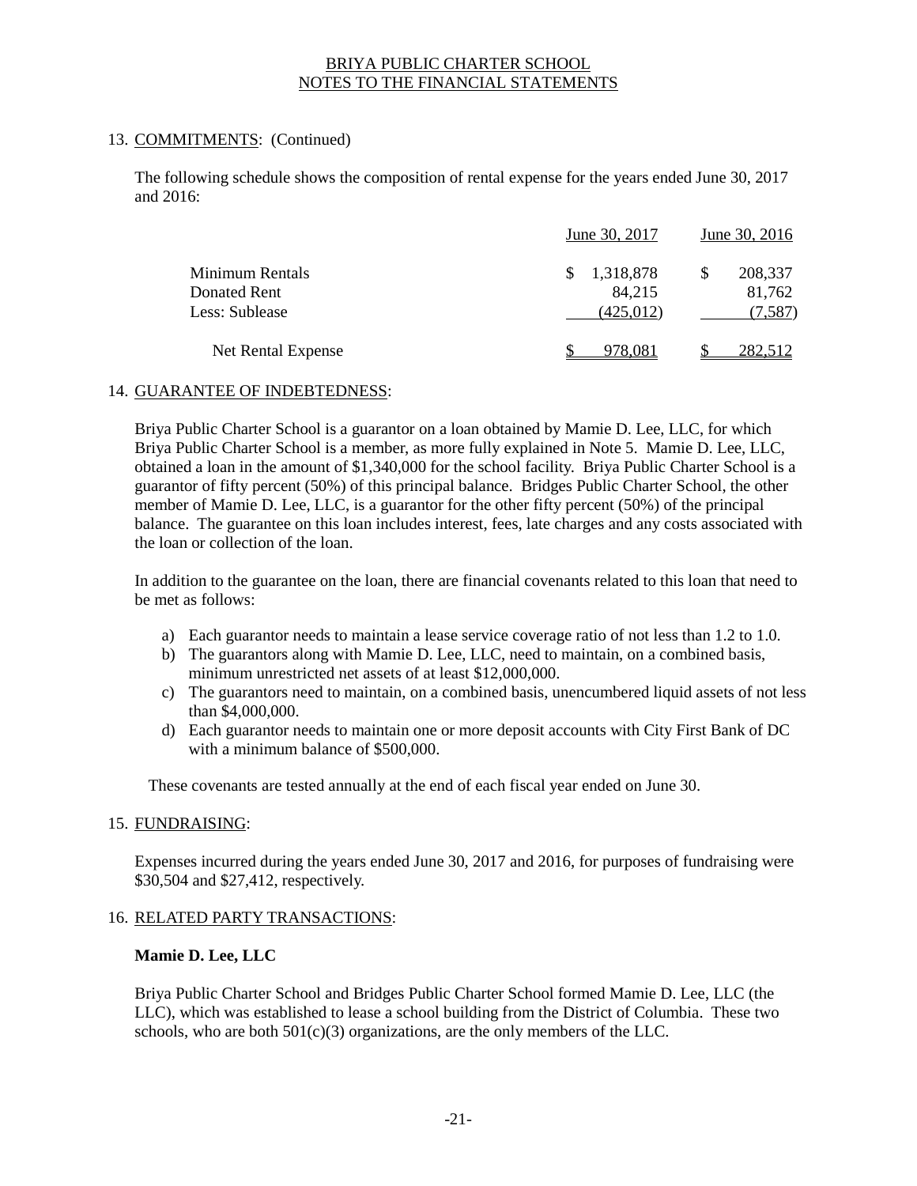### 13. COMMITMENTS: (Continued)

The following schedule shows the composition of rental expense for the years ended June 30, 2017 and 2016:

|                                                   | June 30, 2017 |                                   |   | June 30, 2016                 |  |
|---------------------------------------------------|---------------|-----------------------------------|---|-------------------------------|--|
| Minimum Rentals<br>Donated Rent<br>Less: Sublease | S             | 1,318,878<br>84,215<br>(425, 012) | S | 208,337<br>81,762<br>(7, 587) |  |
| Net Rental Expense                                |               | 78.081                            |   | 282.512                       |  |

#### 14. GUARANTEE OF INDEBTEDNESS:

Briya Public Charter School is a guarantor on a loan obtained by Mamie D. Lee, LLC, for which Briya Public Charter School is a member, as more fully explained in Note 5. Mamie D. Lee, LLC, obtained a loan in the amount of \$1,340,000 for the school facility. Briya Public Charter School is a guarantor of fifty percent (50%) of this principal balance. Bridges Public Charter School, the other member of Mamie D. Lee, LLC, is a guarantor for the other fifty percent (50%) of the principal balance. The guarantee on this loan includes interest, fees, late charges and any costs associated with the loan or collection of the loan.

In addition to the guarantee on the loan, there are financial covenants related to this loan that need to be met as follows:

- a) Each guarantor needs to maintain a lease service coverage ratio of not less than 1.2 to 1.0.
- b) The guarantors along with Mamie D. Lee, LLC, need to maintain, on a combined basis, minimum unrestricted net assets of at least \$12,000,000.
- c) The guarantors need to maintain, on a combined basis, unencumbered liquid assets of not less than \$4,000,000.
- d) Each guarantor needs to maintain one or more deposit accounts with City First Bank of DC with a minimum balance of \$500,000.

These covenants are tested annually at the end of each fiscal year ended on June 30.

#### 15. FUNDRAISING:

Expenses incurred during the years ended June 30, 2017 and 2016, for purposes of fundraising were \$30,504 and \$27,412, respectively.

#### 16. RELATED PARTY TRANSACTIONS:

#### **Mamie D. Lee, LLC**

Briya Public Charter School and Bridges Public Charter School formed Mamie D. Lee, LLC (the LLC), which was established to lease a school building from the District of Columbia. These two schools, who are both  $501(c)(3)$  organizations, are the only members of the LLC.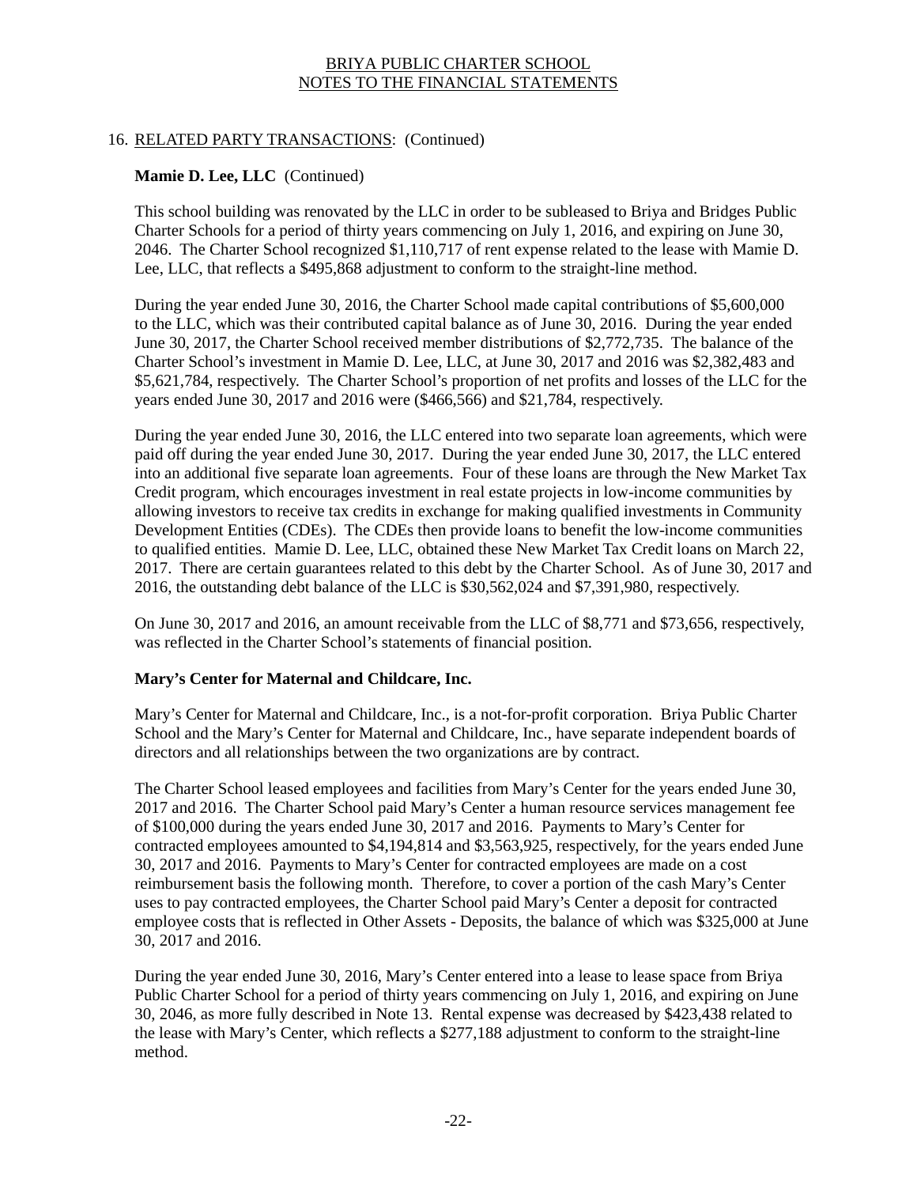### 16. RELATED PARTY TRANSACTIONS: (Continued)

### **Mamie D. Lee, LLC** (Continued)

This school building was renovated by the LLC in order to be subleased to Briya and Bridges Public Charter Schools for a period of thirty years commencing on July 1, 2016, and expiring on June 30, 2046. The Charter School recognized \$1,110,717 of rent expense related to the lease with Mamie D. Lee, LLC, that reflects a \$495,868 adjustment to conform to the straight-line method.

During the year ended June 30, 2016, the Charter School made capital contributions of \$5,600,000 to the LLC, which was their contributed capital balance as of June 30, 2016. During the year ended June 30, 2017, the Charter School received member distributions of \$2,772,735. The balance of the Charter School's investment in Mamie D. Lee, LLC, at June 30, 2017 and 2016 was \$2,382,483 and \$5,621,784, respectively. The Charter School's proportion of net profits and losses of the LLC for the years ended June 30, 2017 and 2016 were (\$466,566) and \$21,784, respectively.

During the year ended June 30, 2016, the LLC entered into two separate loan agreements, which were paid off during the year ended June 30, 2017. During the year ended June 30, 2017, the LLC entered into an additional five separate loan agreements. Four of these loans are through the New Market Tax Credit program, which encourages investment in real estate projects in low-income communities by allowing investors to receive tax credits in exchange for making qualified investments in Community Development Entities (CDEs). The CDEs then provide loans to benefit the low-income communities to qualified entities. Mamie D. Lee, LLC, obtained these New Market Tax Credit loans on March 22, 2017. There are certain guarantees related to this debt by the Charter School. As of June 30, 2017 and 2016, the outstanding debt balance of the LLC is \$30,562,024 and \$7,391,980, respectively.

On June 30, 2017 and 2016, an amount receivable from the LLC of \$8,771 and \$73,656, respectively, was reflected in the Charter School's statements of financial position.

### **Mary's Center for Maternal and Childcare, Inc.**

Mary's Center for Maternal and Childcare, Inc., is a not-for-profit corporation. Briya Public Charter School and the Mary's Center for Maternal and Childcare, Inc., have separate independent boards of directors and all relationships between the two organizations are by contract.

The Charter School leased employees and facilities from Mary's Center for the years ended June 30, 2017 and 2016. The Charter School paid Mary's Center a human resource services management fee of \$100,000 during the years ended June 30, 2017 and 2016. Payments to Mary's Center for contracted employees amounted to \$4,194,814 and \$3,563,925, respectively, for the years ended June 30, 2017 and 2016. Payments to Mary's Center for contracted employees are made on a cost reimbursement basis the following month. Therefore, to cover a portion of the cash Mary's Center uses to pay contracted employees, the Charter School paid Mary's Center a deposit for contracted employee costs that is reflected in Other Assets - Deposits, the balance of which was \$325,000 at June 30, 2017 and 2016.

During the year ended June 30, 2016, Mary's Center entered into a lease to lease space from Briya Public Charter School for a period of thirty years commencing on July 1, 2016, and expiring on June 30, 2046, as more fully described in Note 13. Rental expense was decreased by \$423,438 related to the lease with Mary's Center, which reflects a \$277,188 adjustment to conform to the straight-line method.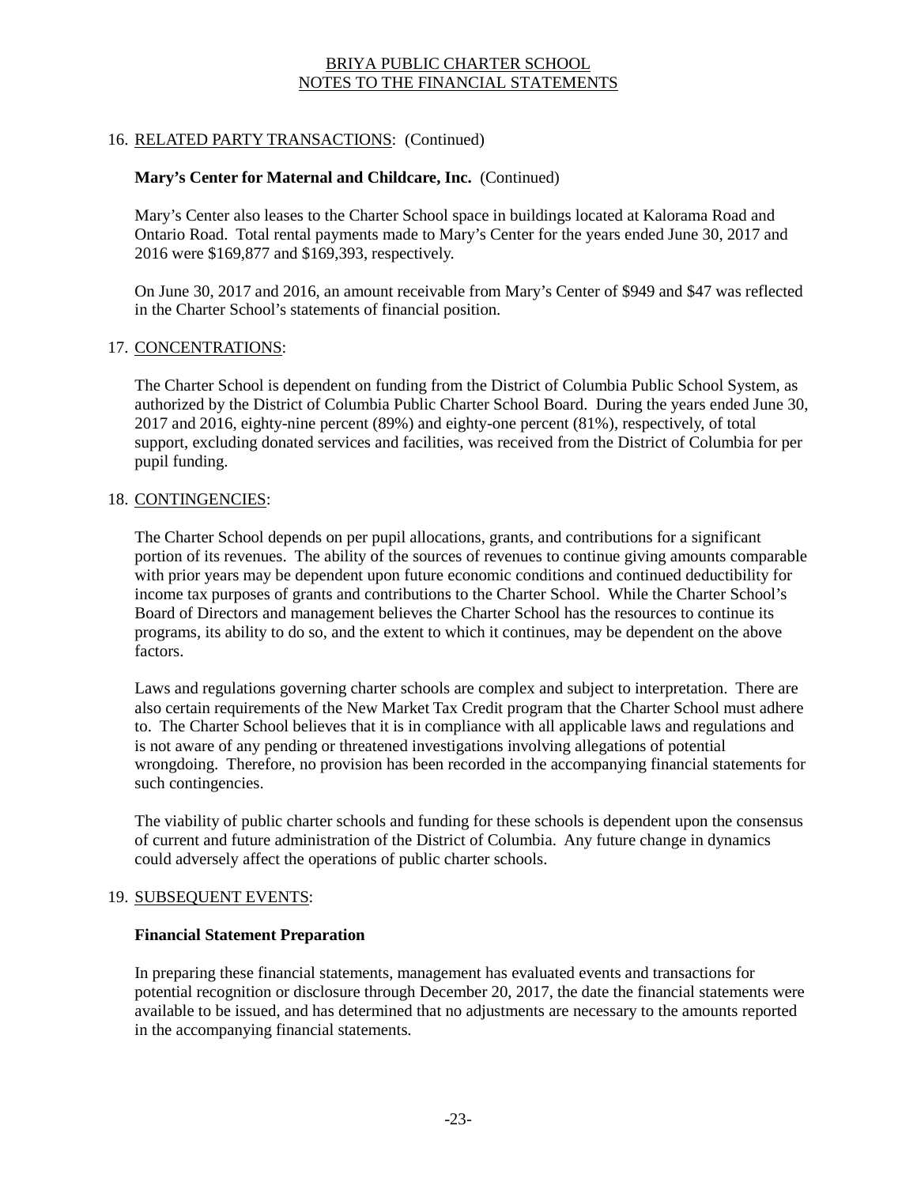### 16. RELATED PARTY TRANSACTIONS: (Continued)

#### **Mary's Center for Maternal and Childcare, Inc.** (Continued)

Mary's Center also leases to the Charter School space in buildings located at Kalorama Road and Ontario Road. Total rental payments made to Mary's Center for the years ended June 30, 2017 and 2016 were \$169,877 and \$169,393, respectively.

On June 30, 2017 and 2016, an amount receivable from Mary's Center of \$949 and \$47 was reflected in the Charter School's statements of financial position.

#### 17. CONCENTRATIONS:

The Charter School is dependent on funding from the District of Columbia Public School System, as authorized by the District of Columbia Public Charter School Board. During the years ended June 30, 2017 and 2016, eighty-nine percent (89%) and eighty-one percent (81%), respectively, of total support, excluding donated services and facilities, was received from the District of Columbia for per pupil funding.

#### 18. CONTINGENCIES:

The Charter School depends on per pupil allocations, grants, and contributions for a significant portion of its revenues. The ability of the sources of revenues to continue giving amounts comparable with prior years may be dependent upon future economic conditions and continued deductibility for income tax purposes of grants and contributions to the Charter School. While the Charter School's Board of Directors and management believes the Charter School has the resources to continue its programs, its ability to do so, and the extent to which it continues, may be dependent on the above factors.

Laws and regulations governing charter schools are complex and subject to interpretation. There are also certain requirements of the New Market Tax Credit program that the Charter School must adhere to. The Charter School believes that it is in compliance with all applicable laws and regulations and is not aware of any pending or threatened investigations involving allegations of potential wrongdoing. Therefore, no provision has been recorded in the accompanying financial statements for such contingencies.

The viability of public charter schools and funding for these schools is dependent upon the consensus of current and future administration of the District of Columbia. Any future change in dynamics could adversely affect the operations of public charter schools.

#### 19. SUBSEQUENT EVENTS:

#### **Financial Statement Preparation**

In preparing these financial statements, management has evaluated events and transactions for potential recognition or disclosure through December 20, 2017, the date the financial statements were available to be issued, and has determined that no adjustments are necessary to the amounts reported in the accompanying financial statements.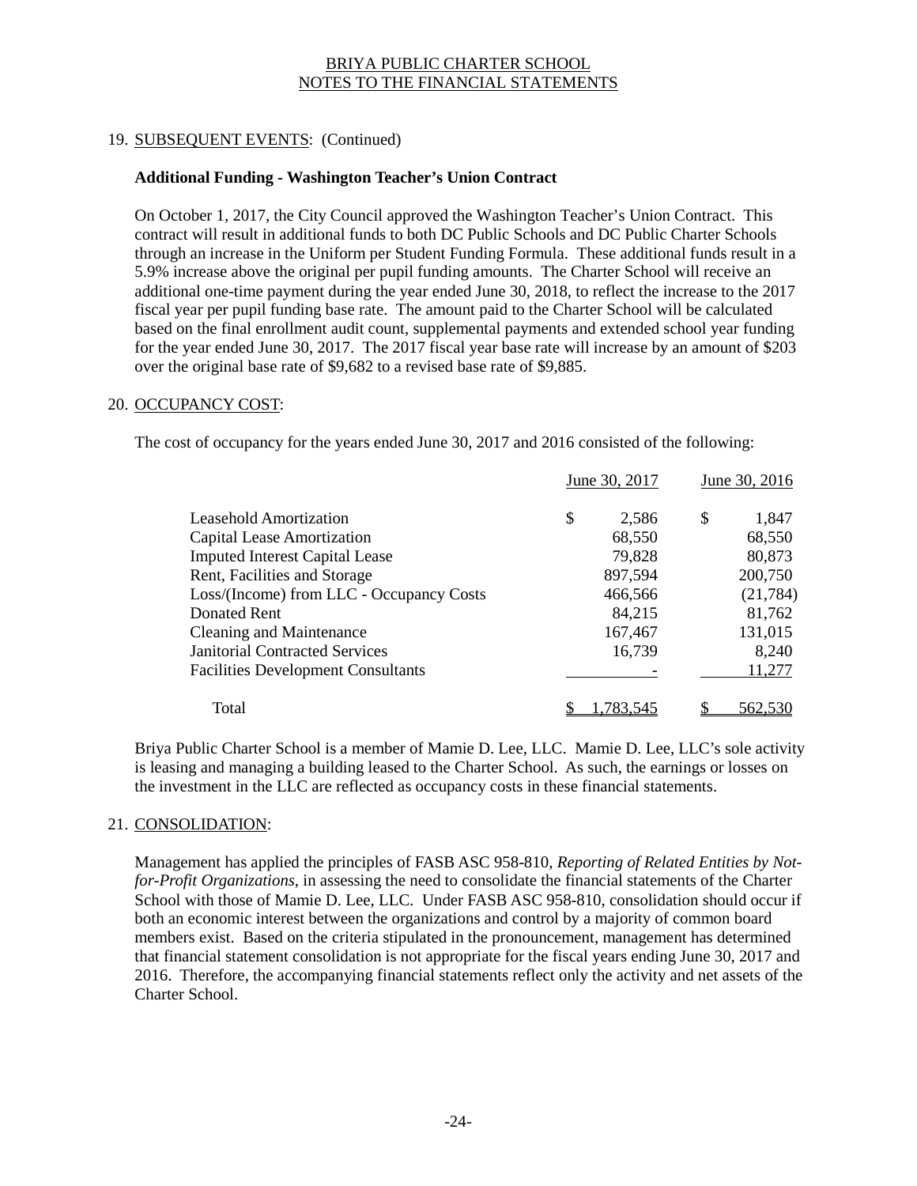### 19. SUBSEQUENT EVENTS: (Continued)

#### **Additional Funding - Washington Teacher's Union Contract**

On October 1, 2017, the City Council approved the Washington Teacher's Union Contract. This contract will result in additional funds to both DC Public Schools and DC Public Charter Schools through an increase in the Uniform per Student Funding Formula. These additional funds result in a 5.9% increase above the original per pupil funding amounts. The Charter School will receive an additional one-time payment during the year ended June 30, 2018, to reflect the increase to the 2017 fiscal year per pupil funding base rate. The amount paid to the Charter School will be calculated based on the final enrollment audit count, supplemental payments and extended school year funding for the year ended June 30, 2017. The 2017 fiscal year base rate will increase by an amount of \$203 over the original base rate of \$9,682 to a revised base rate of \$9,885.

#### 20. OCCUPANCY COST:

The cost of occupancy for the years ended June 30, 2017 and 2016 consisted of the following:

|                                           | June 30, 2017 |           | June 30, 2016 |           |
|-------------------------------------------|---------------|-----------|---------------|-----------|
| Leasehold Amortization                    | \$            | 2,586     | \$            | 1,847     |
| Capital Lease Amortization                |               | 68,550    |               | 68,550    |
| <b>Imputed Interest Capital Lease</b>     |               | 79,828    |               | 80,873    |
| Rent, Facilities and Storage              |               | 897,594   |               | 200,750   |
| Loss/(Income) from LLC - Occupancy Costs  |               | 466,566   |               | (21, 784) |
| Donated Rent                              |               | 84,215    |               | 81,762    |
| <b>Cleaning and Maintenance</b>           |               | 167,467   |               | 131,015   |
| <b>Janitorial Contracted Services</b>     |               | 16,739    |               | 8,240     |
| <b>Facilities Development Consultants</b> |               |           |               | 11,277    |
| Total                                     |               | 1.783.545 |               | 562,530   |

Briya Public Charter School is a member of Mamie D. Lee, LLC. Mamie D. Lee, LLC's sole activity is leasing and managing a building leased to the Charter School. As such, the earnings or losses on the investment in the LLC are reflected as occupancy costs in these financial statements.

#### 21. CONSOLIDATION:

Management has applied the principles of FASB ASC 958-810, *Reporting of Related Entities by Notfor-Profit Organizations*, in assessing the need to consolidate the financial statements of the Charter School with those of Mamie D. Lee, LLC. Under FASB ASC 958-810, consolidation should occur if both an economic interest between the organizations and control by a majority of common board members exist. Based on the criteria stipulated in the pronouncement, management has determined that financial statement consolidation is not appropriate for the fiscal years ending June 30, 2017 and 2016. Therefore, the accompanying financial statements reflect only the activity and net assets of the Charter School.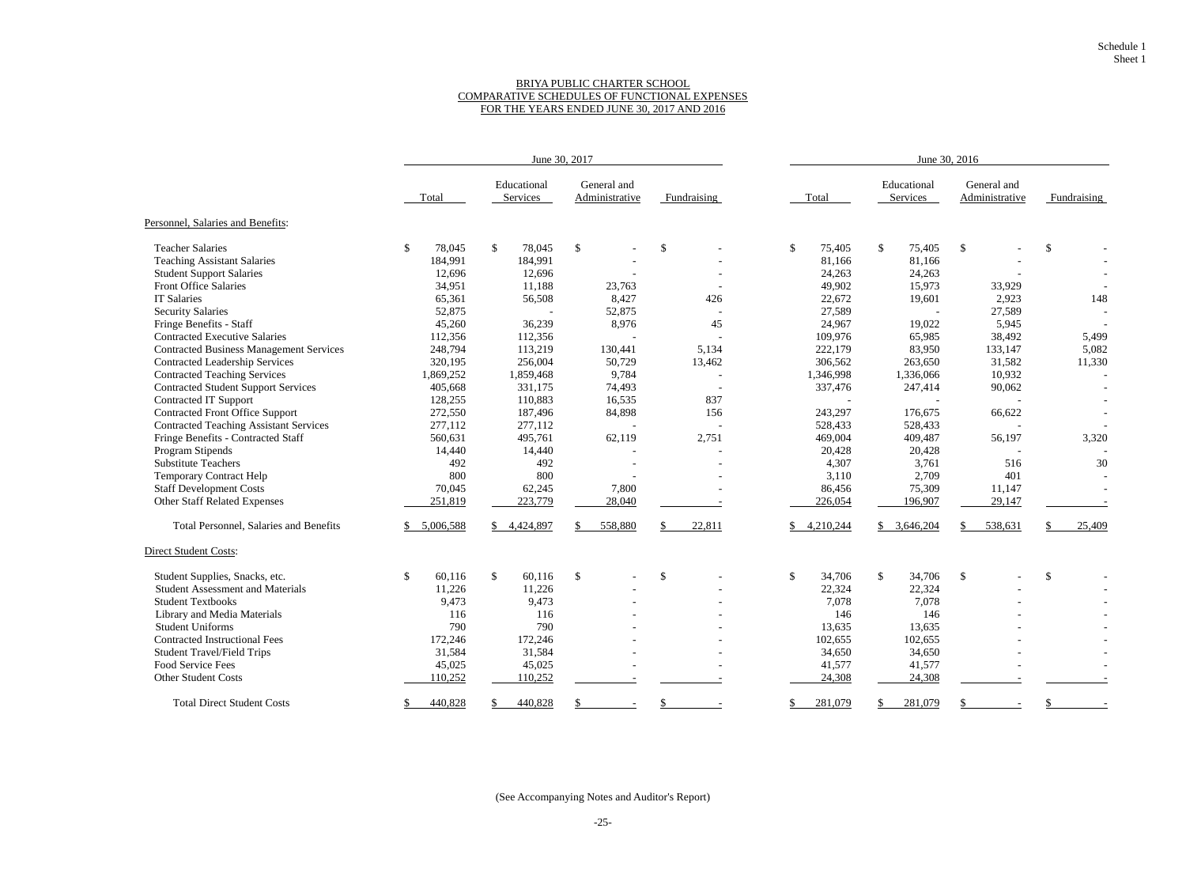#### BRIYA PUBLIC CHARTER SCHOOL COMPARATIVE SCHEDULES OF FUNCTIONAL EXPENSES FOR THE YEARS ENDED JUNE 30, 2017 AND 2016

|                                                | June 30, 2017          |                         |                               |               | June 30, 2016           |                         |                               |               |
|------------------------------------------------|------------------------|-------------------------|-------------------------------|---------------|-------------------------|-------------------------|-------------------------------|---------------|
|                                                | Total                  | Educational<br>Services | General and<br>Administrative | Fundraising   | Total                   | Educational<br>Services | General and<br>Administrative | Fundraising   |
| Personnel, Salaries and Benefits:              |                        |                         |                               |               |                         |                         |                               |               |
| <b>Teacher Salaries</b>                        | $\mathbb{S}$<br>78,045 | $\mathbb{S}$<br>78,045  | $\mathcal{S}$                 | $\mathcal{S}$ | $\mathcal{S}$<br>75,405 | \$<br>75,405            | $\mathbb{S}$                  | $\mathcal{S}$ |
| <b>Teaching Assistant Salaries</b>             | 184,991                | 184,991                 |                               |               | 81,166                  | 81,166                  |                               |               |
| <b>Student Support Salaries</b>                | 12,696                 | 12,696                  |                               |               | 24,263                  | 24,263                  |                               |               |
| Front Office Salaries                          | 34,951                 | 11,188                  | 23,763                        |               | 49,902                  | 15,973                  | 33,929                        |               |
| <b>IT Salaries</b>                             | 65,361                 | 56,508                  | 8,427                         | 426           | 22,672                  | 19,601                  | 2,923                         | 148           |
| <b>Security Salaries</b>                       | 52,875                 |                         | 52,875                        |               | 27,589                  |                         | 27,589                        |               |
| Fringe Benefits - Staff                        | 45,260                 | 36,239                  | 8,976                         | 45            | 24,967                  | 19,022                  | 5,945                         |               |
| <b>Contracted Executive Salaries</b>           | 112,356                | 112,356                 |                               |               | 109,976                 | 65,985                  | 38,492                        | 5,499         |
| <b>Contracted Business Management Services</b> | 248,794                | 113,219                 | 130,441                       | 5,134         | 222,179                 | 83,950                  | 133,147                       | 5,082         |
| Contracted Leadership Services                 | 320,195                | 256,004                 | 50,729                        | 13,462        | 306,562                 | 263,650                 | 31,582                        | 11,330        |
| <b>Contracted Teaching Services</b>            | 1,869,252              | 1,859,468               | 9,784                         |               | 1,346,998               | 1,336,066               | 10,932                        |               |
| <b>Contracted Student Support Services</b>     | 405,668                | 331,175                 | 74,493                        | $\sim$        | 337,476                 | 247,414                 | 90,062                        |               |
| <b>Contracted IT Support</b>                   | 128,255                | 110,883                 | 16,535                        | 837           |                         |                         |                               |               |
| <b>Contracted Front Office Support</b>         | 272,550                | 187,496                 | 84,898                        | 156           | 243,297                 | 176,675                 | 66,622                        |               |
| <b>Contracted Teaching Assistant Services</b>  | 277,112                | 277,112                 |                               |               | 528,433                 | 528,433                 |                               |               |
| Fringe Benefits - Contracted Staff             | 560,631                | 495,761                 | 62,119                        | 2,751         | 469,004                 | 409,487                 | 56,197                        | 3,320         |
| Program Stipends                               | 14,440                 | 14,440                  |                               |               | 20,428                  | 20,428                  |                               |               |
| <b>Substitute Teachers</b>                     | 492                    | 492                     |                               |               | 4,307                   | 3,761                   | 516                           | 30            |
| Temporary Contract Help                        | 800                    | 800                     |                               |               | 3,110                   | 2,709                   | 401                           |               |
| <b>Staff Development Costs</b>                 | 70,045                 | 62,245                  | 7,800                         |               | 86,456                  | 75,309                  | 11,147                        |               |
| <b>Other Staff Related Expenses</b>            | 251,819                | 223,779                 | 28,040                        |               | 226,054                 | 196,907                 | 29,147                        |               |
| Total Personnel, Salaries and Benefits         | 5,006,588              | \$4,424,897             | 558,880                       | 22,811        | 4,210,244               | 3,646,204               | 538,631                       | 25,409        |
| <b>Direct Student Costs:</b>                   |                        |                         |                               |               |                         |                         |                               |               |
| Student Supplies, Snacks, etc.                 | $\mathbb{S}$<br>60,116 | $\mathbb{S}$<br>60,116  | $\mathcal{S}$                 | $\mathcal{S}$ | $\mathcal{S}$<br>34,706 | \$<br>34,706            | $\mathcal{S}$                 | $\$$          |
| <b>Student Assessment and Materials</b>        | 11,226                 | 11,226                  |                               |               | 22,324                  | 22,324                  |                               |               |
| <b>Student Textbooks</b>                       | 9,473                  | 9,473                   |                               |               | 7,078                   | 7,078                   |                               |               |
| Library and Media Materials                    | 116                    | 116                     |                               |               | 146                     | 146                     |                               |               |
| <b>Student Uniforms</b>                        | 790                    | 790                     |                               |               | 13,635                  | 13,635                  |                               |               |
| <b>Contracted Instructional Fees</b>           | 172,246                | 172,246                 |                               |               | 102,655                 | 102,655                 |                               |               |
| <b>Student Travel/Field Trips</b>              | 31,584                 | 31,584                  |                               |               | 34,650                  | 34,650                  |                               |               |
| Food Service Fees                              | 45,025                 | 45,025                  |                               |               | 41,577                  | 41,577                  |                               |               |
| <b>Other Student Costs</b>                     | 110,252                | 110,252                 |                               |               | 24,308                  | 24,308                  |                               |               |
| <b>Total Direct Student Costs</b>              | 440,828                | 440,828                 |                               |               | 281,079                 | 281,079                 |                               |               |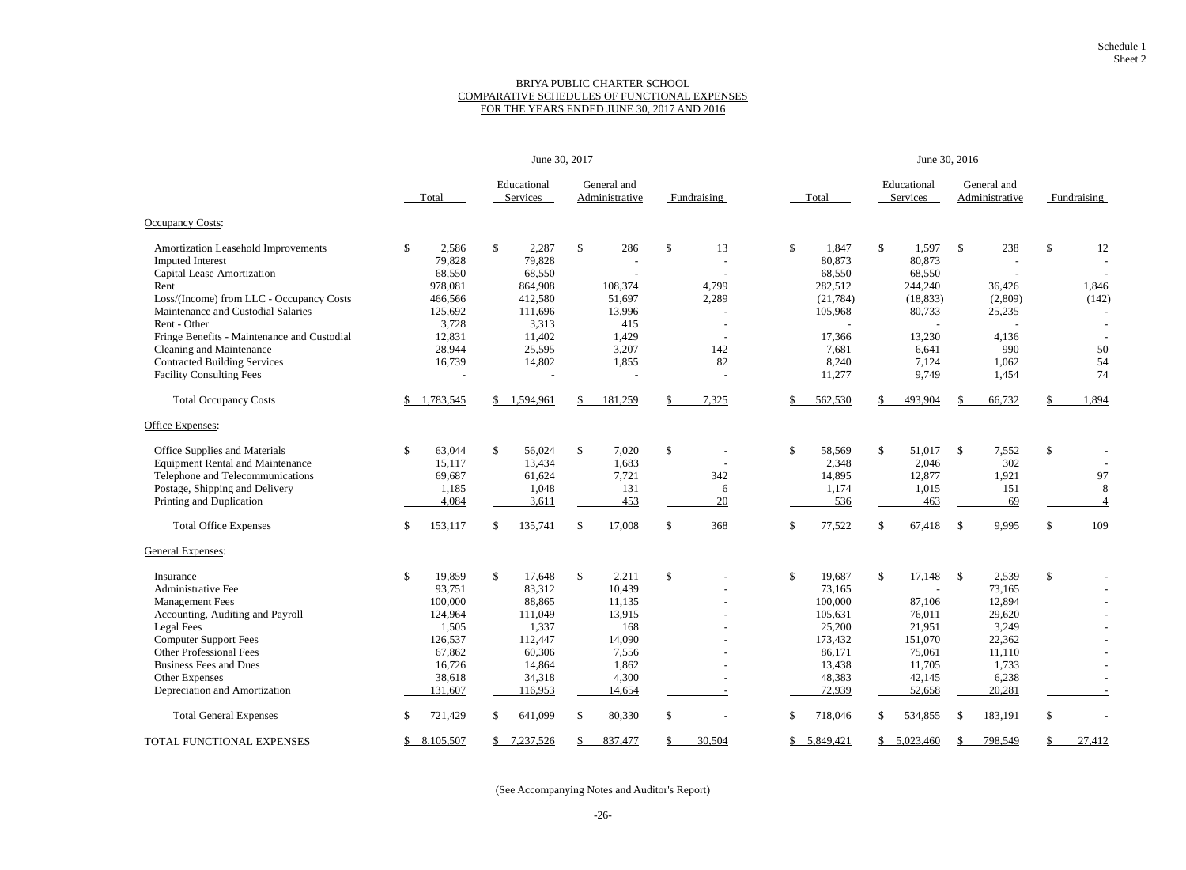#### BRIYA PUBLIC CHARTER SCHOOL COMPARATIVE SCHEDULES OF FUNCTIONAL EXPENSES FOR THE YEARS ENDED JUNE 30, 2017 AND 2016

|                                             | June 30, 2017          |                         |                               |                     |                         | June 30, 2016           |                               |             |  |
|---------------------------------------------|------------------------|-------------------------|-------------------------------|---------------------|-------------------------|-------------------------|-------------------------------|-------------|--|
|                                             | Total                  | Educational<br>Services | General and<br>Administrative | Fundraising         | Total                   | Educational<br>Services | General and<br>Administrative | Fundraising |  |
| <b>Occupancy Costs:</b>                     |                        |                         |                               |                     |                         |                         |                               |             |  |
| Amortization Leasehold Improvements         | $\mathbb{S}$<br>2,586  | \$<br>2,287             | 286<br>\$                     | 13<br><sup>\$</sup> | \$<br>1,847             | \$<br>1,597             | $\mathcal{S}$<br>238          | \$<br>12    |  |
| <b>Imputed Interest</b>                     | 79,828                 | 79,828                  |                               |                     | 80,873                  | 80,873                  |                               |             |  |
| Capital Lease Amortization                  | 68,550                 | 68,550                  |                               |                     | 68,550                  | 68,550                  |                               |             |  |
| Rent                                        | 978,081                | 864,908                 | 108,374                       | 4,799               | 282,512                 | 244,240                 | 36,426                        | 1,846       |  |
| Loss/(Income) from LLC - Occupancy Costs    | 466,566                | 412,580                 | 51,697                        | 2,289               | (21, 784)               | (18, 833)               | (2,809)                       | (142)       |  |
| Maintenance and Custodial Salaries          | 125,692                | 111,696                 | 13,996                        |                     | 105,968                 | 80,733                  | 25,235                        |             |  |
| Rent - Other                                | 3,728                  | 3,313                   | 415                           |                     |                         |                         |                               |             |  |
| Fringe Benefits - Maintenance and Custodial | 12,831                 | 11,402                  | 1,429                         |                     | 17,366                  | 13,230                  | 4,136                         |             |  |
| Cleaning and Maintenance                    | 28,944                 | 25,595                  | 3,207                         | 142                 | 7,681                   | 6,641                   | 990                           | 50          |  |
| <b>Contracted Building Services</b>         | 16,739                 | 14,802                  | 1,855                         | 82                  | 8,240                   | 7,124                   | 1,062                         | 54          |  |
| <b>Facility Consulting Fees</b>             |                        |                         |                               |                     | 11,277                  | 9,749                   | 1,454                         | 74          |  |
| <b>Total Occupancy Costs</b>                | 1,783,545              | 1,594,961               | 181,259                       | 7,325               | 562,530                 | 493,904                 | 66,732                        | 1,894       |  |
| Office Expenses:                            |                        |                         |                               |                     |                         |                         |                               |             |  |
| Office Supplies and Materials               | $\mathbb{S}$<br>63,044 | $\mathbb{S}$<br>56,024  | $\mathcal{S}$<br>7,020        | \$                  | $\mathcal{S}$<br>58,569 | $\mathbb{S}$<br>51,017  | $\mathbb{S}$<br>7,552         | \$          |  |
| <b>Equipment Rental and Maintenance</b>     | 15,117                 | 13,434                  | 1,683                         |                     | 2,348                   | 2,046                   | 302                           |             |  |
| Telephone and Telecommunications            | 69,687                 | 61,624                  | 7,721                         | 342                 | 14,895                  | 12,877                  | 1,921                         | 97          |  |
| Postage, Shipping and Delivery              | 1,185                  | 1,048                   | 131                           | 6                   | 1,174                   | 1,015                   | 151                           |             |  |
| Printing and Duplication                    | 4,084                  | 3,611                   | 453                           | 20                  | 536                     | 463                     | 69                            |             |  |
| <b>Total Office Expenses</b>                | 153,117                | 135,741                 | 17,008                        | 368                 | 77,522                  | 67,418                  | 9,995                         | 109         |  |
| <b>General Expenses:</b>                    |                        |                         |                               |                     |                         |                         |                               |             |  |
| Insurance                                   | \$<br>19,859           | $\mathbb{S}$<br>17,648  | $\mathbb{S}$<br>2,211         | \$                  | \$<br>19,687            | 17,148<br>\$            | $\sqrt{3}$<br>2,539           | \$          |  |
| Administrative Fee                          | 93,751                 | 83,312                  | 10,439                        |                     | 73,165                  |                         | 73,165                        |             |  |
| <b>Management Fees</b>                      | 100,000                | 88,865                  | 11,135                        |                     | 100,000                 | 87,106                  | 12,894                        |             |  |
| Accounting, Auditing and Payroll            | 124,964                | 111,049                 | 13,915                        |                     | 105,631                 | 76,011                  | 29,620                        |             |  |
| Legal Fees                                  | 1,505                  | 1,337                   | 168                           |                     | 25,200                  | 21,951                  | 3,249                         |             |  |
| <b>Computer Support Fees</b>                | 126,537                | 112,447                 | 14,090                        |                     | 173,432                 | 151,070                 | 22,362                        |             |  |
| Other Professional Fees                     | 67,862                 | 60,306                  | 7,556                         |                     | 86,171                  | 75,061                  | 11,110                        |             |  |
| <b>Business Fees and Dues</b>               | 16,726                 | 14,864                  | 1,862                         |                     | 13,438                  | 11,705                  | 1,733                         |             |  |
| Other Expenses                              | 38,618                 | 34,318                  | 4,300                         |                     | 48,383                  | 42,145                  | 6,238                         |             |  |
| Depreciation and Amortization               | 131,607                | 116,953                 | 14,654                        |                     | 72,939                  | 52,658                  | 20,281                        |             |  |
| <b>Total General Expenses</b>               | 721,429                | 641,099                 | 80,330                        |                     | 718,046                 | 534,855                 | 183,191<br><sup>\$</sup>      |             |  |
| TOTAL FUNCTIONAL EXPENSES                   | 8,105,507              | \$7,237,526             | 837,477                       | 30,504<br>S.        | \$5,849,421             | \$5,023,460             | 798,549<br><sup>\$</sup>      | 27,412      |  |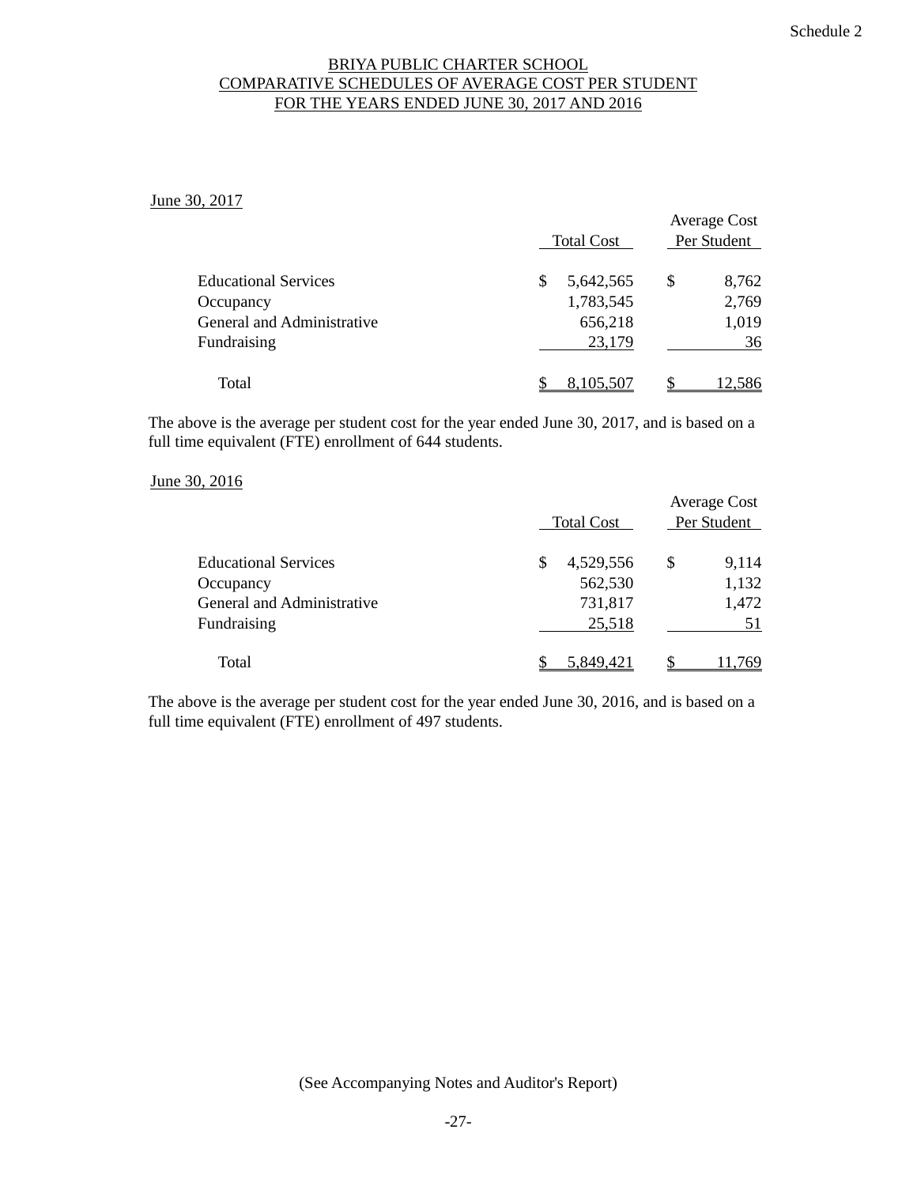#### BRIYA PUBLIC CHARTER SCHOOL COMPARATIVE SCHEDULES OF AVERAGE COST PER STUDENT FOR THE YEARS ENDED JUNE 30, 2017 AND 2016

#### June 30, 2017

|                             | <b>Total Cost</b> |   |        |
|-----------------------------|-------------------|---|--------|
| <b>Educational Services</b> | 5,642,565         | S | 8,762  |
| Occupancy                   | 1,783,545         |   | 2,769  |
| General and Administrative  | 656,218           |   | 1,019  |
| Fundraising                 | 23,179            |   | 36     |
| Total                       | 8,105,507         |   | 12.586 |

The above is the average per student cost for the year ended June 30, 2017, and is based on a full time equivalent (FTE) enrollment of 644 students.

#### June 30, 2016

|                             | <b>Total Cost</b> | <b>Average Cost</b><br>Per Student |   |        |
|-----------------------------|-------------------|------------------------------------|---|--------|
| <b>Educational Services</b> | \$                | 4,529,556                          | S | 9,114  |
| Occupancy                   |                   | 562,530                            |   | 1,132  |
| General and Administrative  |                   | 731,817                            |   | 1,472  |
| Fundraising                 |                   | 25,518                             |   | 51     |
| Total                       |                   | 5,849,421                          |   | 11,769 |

The above is the average per student cost for the year ended June 30, 2016, and is based on a full time equivalent (FTE) enrollment of 497 students.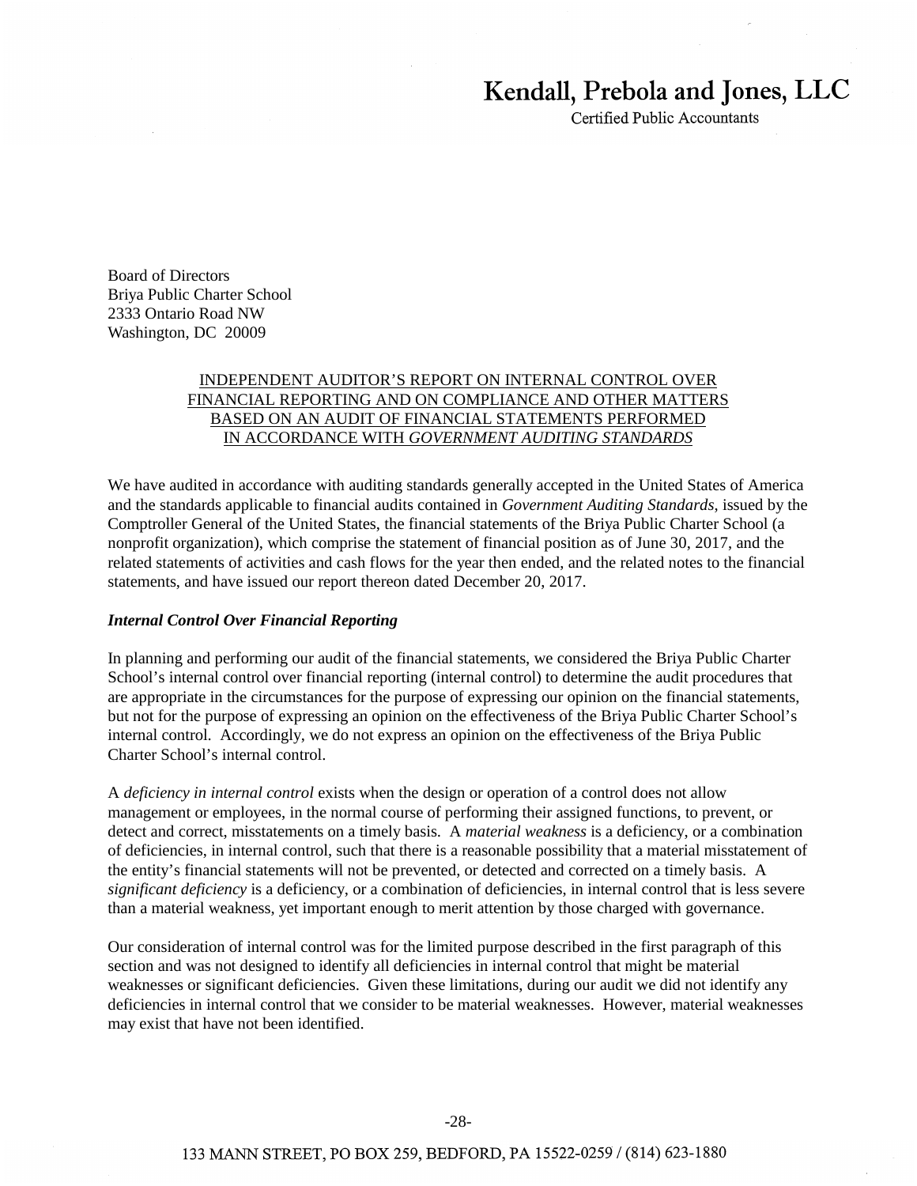## Kendall, Prebola and Jones, LLC

**Certified Public Accountants** 

Board of Directors Briya Public Charter School 2333 Ontario Road NW Washington, DC 20009

#### INDEPENDENT AUDITOR'S REPORT ON INTERNAL CONTROL OVER FINANCIAL REPORTING AND ON COMPLIANCE AND OTHER MATTERS BASED ON AN AUDIT OF FINANCIAL STATEMENTS PERFORMED IN ACCORDANCE WITH *GOVERNMENT AUDITING STANDARDS*

We have audited in accordance with auditing standards generally accepted in the United States of America and the standards applicable to financial audits contained in *Government Auditing Standards*, issued by the Comptroller General of the United States, the financial statements of the Briya Public Charter School (a nonprofit organization), which comprise the statement of financial position as of June 30, 2017, and the related statements of activities and cash flows for the year then ended, and the related notes to the financial statements, and have issued our report thereon dated December 20, 2017.

#### *Internal Control Over Financial Reporting*

In planning and performing our audit of the financial statements, we considered the Briya Public Charter School's internal control over financial reporting (internal control) to determine the audit procedures that are appropriate in the circumstances for the purpose of expressing our opinion on the financial statements, but not for the purpose of expressing an opinion on the effectiveness of the Briya Public Charter School's internal control. Accordingly, we do not express an opinion on the effectiveness of the Briya Public Charter School's internal control.

A *deficiency in internal control* exists when the design or operation of a control does not allow management or employees, in the normal course of performing their assigned functions, to prevent, or detect and correct, misstatements on a timely basis. A *material weakness* is a deficiency, or a combination of deficiencies, in internal control, such that there is a reasonable possibility that a material misstatement of the entity's financial statements will not be prevented, or detected and corrected on a timely basis. A *significant deficiency* is a deficiency, or a combination of deficiencies, in internal control that is less severe than a material weakness, yet important enough to merit attention by those charged with governance.

Our consideration of internal control was for the limited purpose described in the first paragraph of this section and was not designed to identify all deficiencies in internal control that might be material weaknesses or significant deficiencies. Given these limitations, during our audit we did not identify any deficiencies in internal control that we consider to be material weaknesses. However, material weaknesses may exist that have not been identified.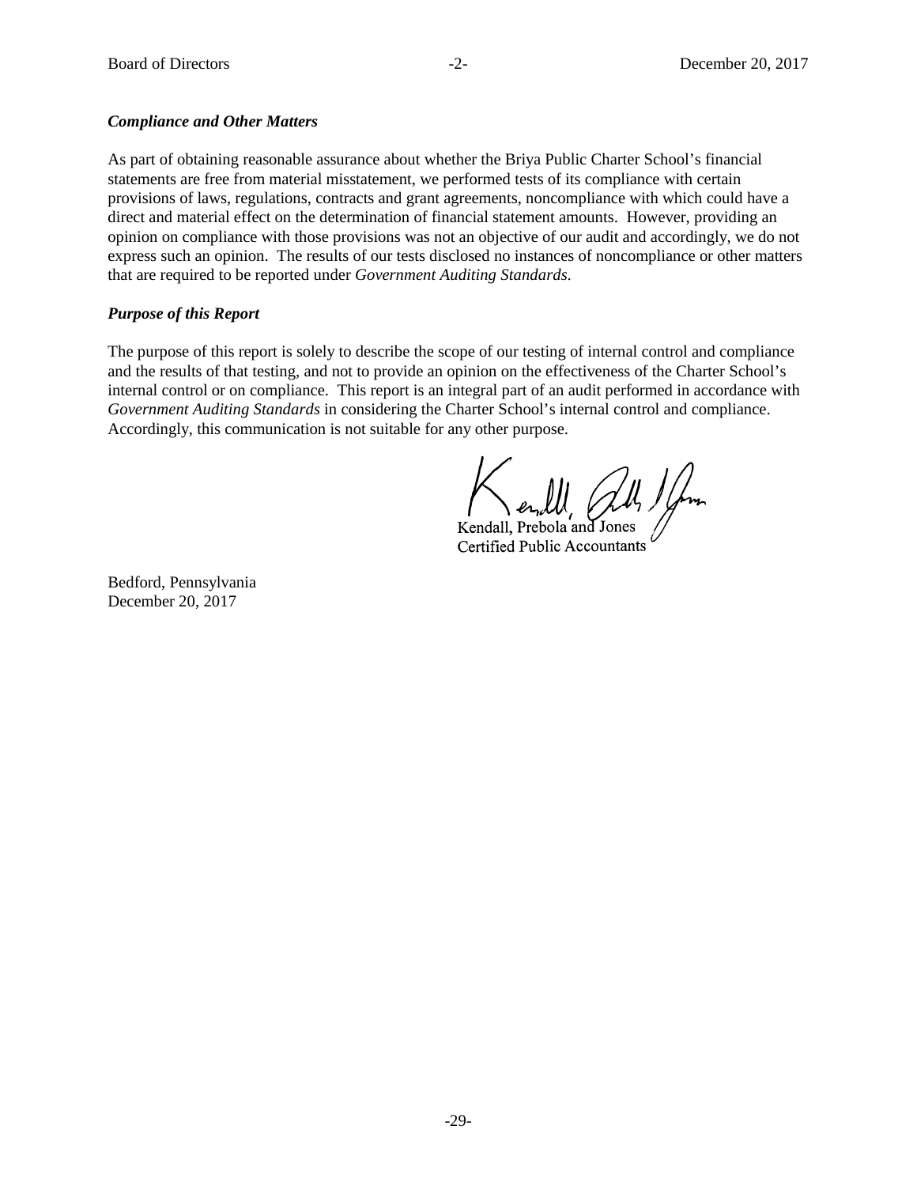#### *Compliance and Other Matters*

As part of obtaining reasonable assurance about whether the Briya Public Charter School's financial statements are free from material misstatement, we performed tests of its compliance with certain provisions of laws, regulations, contracts and grant agreements, noncompliance with which could have a direct and material effect on the determination of financial statement amounts. However, providing an opinion on compliance with those provisions was not an objective of our audit and accordingly, we do not express such an opinion. The results of our tests disclosed no instances of noncompliance or other matters that are required to be reported under *Government Auditing Standards*.

### *Purpose of this Report*

The purpose of this report is solely to describe the scope of our testing of internal control and compliance and the results of that testing, and not to provide an opinion on the effectiveness of the Charter School's internal control or on compliance. This report is an integral part of an audit performed in accordance with *Government Auditing Standards* in considering the Charter School's internal control and compliance. Accordingly, this communication is not suitable for any other purpose.

Kendall, Prebola and Jones

Certified Public Accountants

Bedford, Pennsylvania December 20, 2017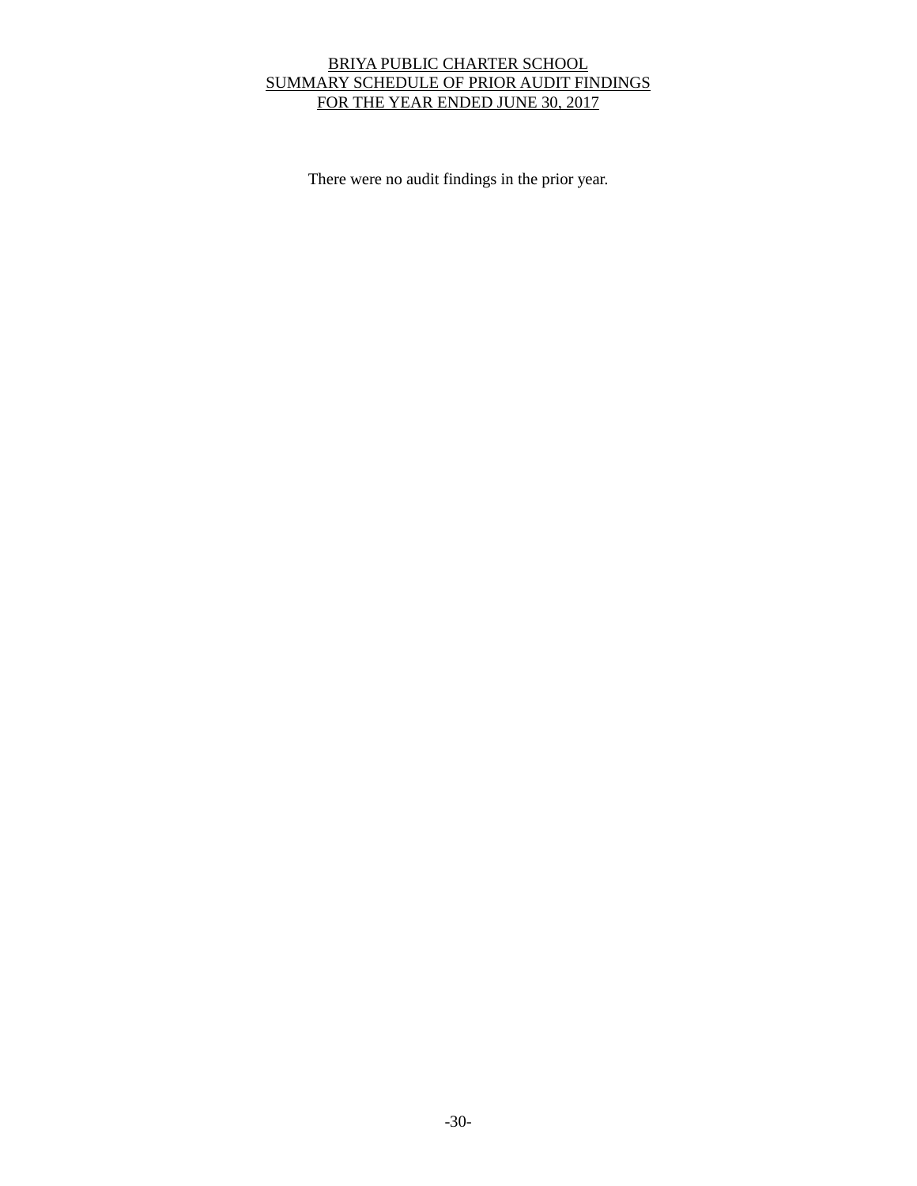### BRIYA PUBLIC CHARTER SCHOOL SUMMARY SCHEDULE OF PRIOR AUDIT FINDINGS FOR THE YEAR ENDED JUNE 30, 2017

There were no audit findings in the prior year.